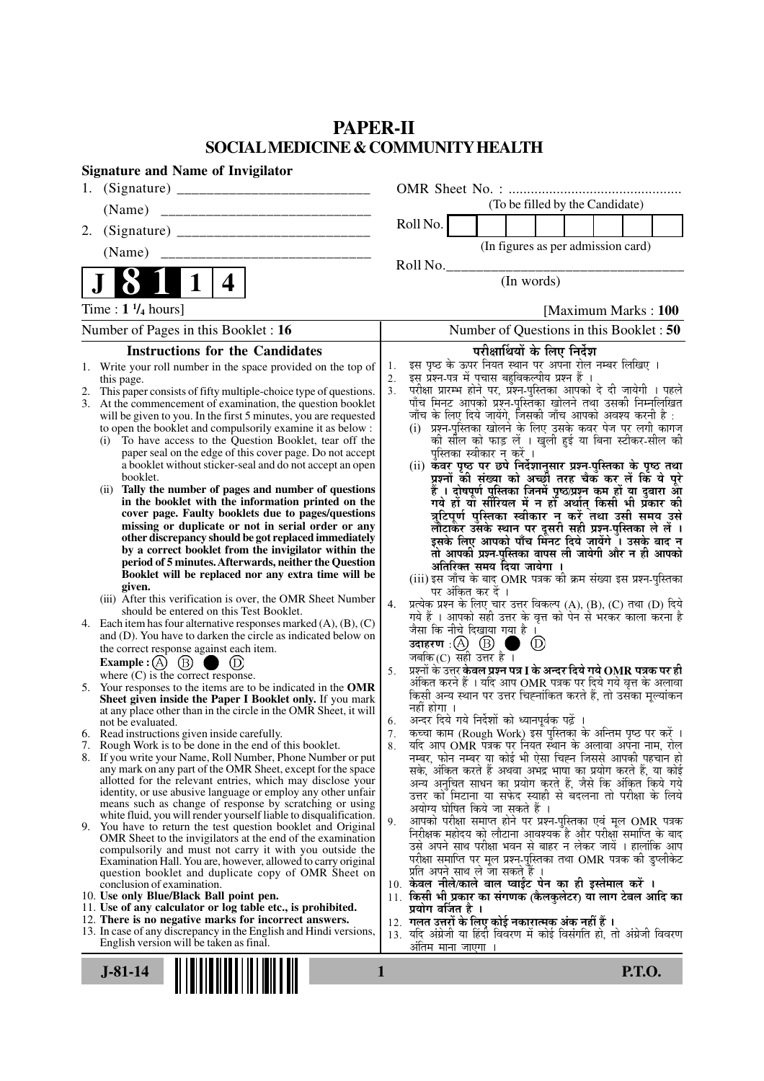# **PAPER-II SOCIAL MEDICINE & COMMUNITY HEALTH**

| <b>Signature and Name of Invigilator</b>                                                                                                 |                                                                                                                                       |
|------------------------------------------------------------------------------------------------------------------------------------------|---------------------------------------------------------------------------------------------------------------------------------------|
| 1.                                                                                                                                       |                                                                                                                                       |
| (Name)                                                                                                                                   | (To be filled by the Candidate)                                                                                                       |
| 2.                                                                                                                                       | Roll No.                                                                                                                              |
|                                                                                                                                          | (In figures as per admission card)                                                                                                    |
|                                                                                                                                          | Roll No.                                                                                                                              |
| $\mathbf 1$<br>4                                                                                                                         | (In words)                                                                                                                            |
| Time : $1 \frac{1}{4}$ hours]                                                                                                            | [Maximum Marks: 100]                                                                                                                  |
| Number of Pages in this Booklet : 16                                                                                                     | Number of Questions in this Booklet: 50                                                                                               |
| <b>Instructions for the Candidates</b>                                                                                                   | परीक्षार्थियों के लिए निर्देश                                                                                                         |
| Write your roll number in the space provided on the top of<br>1.                                                                         | इस पृष्ठ के ऊपर नियत स्थान पर अपना रोल नम्बर लिखिए ।<br>इस प्रश्न-पत्र में पुचास बहुविकल्पीय प्रश्न हैं ।<br>1.<br>2.                 |
| this page.<br>This paper consists of fifty multiple-choice type of questions.                                                            | परीक्षा प्रारम्भ होने पर, प्रॅश्न-पुस्तिका आपको दे दी जायेगी । पहले<br>पाँच मिनट आपको प्रश्न-पुस्तिका खोलने तथा उसकी निम्नलिखित<br>3. |
| At the commencement of examination, the question booklet<br>3.                                                                           |                                                                                                                                       |
| will be given to you. In the first 5 minutes, you are requested<br>to open the booklet and compulsorily examine it as below :            | जाँच के लिए दिये जायेंगे, जिसकी जाँच आपको अवश्य करनी है :<br>(i) प्रश्न-पुरितका खोलने के लिए उसके कवर पेज पर लगी कागज                 |
| To have access to the Question Booklet, tear off the<br>(i)                                                                              | की सील को फाड़ लें । खुली हुई या बिना स्टीकर-सील की                                                                                   |
| paper seal on the edge of this cover page. Do not accept<br>a booklet without sticker-seal and do not accept an open                     | पुस्तिका स्वीकार न करें ।                                                                                                             |
| booklet.                                                                                                                                 | (ii) कवर पृष्ठ पर छपे निर्देशानुसार प्रश्न-पुस्तिका के पृष्ठ तथा<br>प्रश्नों की संख्या को अच्छों तरह चैक कर लें कि ये पूरे            |
| Tally the number of pages and number of questions<br>(ii)<br>in the booklet with the information printed on the                          | हैं । दोषपूर्ण पुस्तिका जिनमें पृष्ठ/प्रश्न कम हों या दुबारा आ<br>गये हो या सीरियल में न हो अर्थात् किसी भी प्रकार की                 |
| cover page. Faulty booklets due to pages/questions                                                                                       | त्रुटिपूर्ण पुस्तिका स्वीकार न करें तथा उसी समय उसे                                                                                   |
| missing or duplicate or not in serial order or any                                                                                       | लौटाकर उसके स्थान पर दूसरी सही प्रश्न-पुस्तिका ले लें ।                                                                               |
| other discrepancy should be got replaced immediately<br>by a correct booklet from the invigilator within the                             | इसके लिए आपको पाँच मिंनट दिये जायेंगे ँ। उसके बाद न<br>तो आपकी प्रश्न-पुस्तिका वापस ली जायेगी और न ही आपको                            |
| period of 5 minutes. Afterwards, neither the Question                                                                                    | अतिरिक्त समय दिया जायेगा ।                                                                                                            |
| Booklet will be replaced nor any extra time will be<br>given.                                                                            | (iii) इस जाँच के बाद OMR पत्रक की क्रम संख्या इस प्रश्न-पुस्तिका                                                                      |
| (iii) After this verification is over, the OMR Sheet Number                                                                              | पर अंकित कर दें ।<br>प्रत्येक प्रश्न के लिए चार उत्तर विकल्प (A), (B), (C) तथा (D) दिये<br>4.                                         |
| should be entered on this Test Booklet.                                                                                                  | गये हैं । आपको सही उत्तर के वृत्त को पेन से भरकर काला करना है                                                                         |
| 4. Each item has four alternative responses marked $(A)$ , $(B)$ , $(C)$<br>and (D). You have to darken the circle as indicated below on | जैसा कि नीचे दिखाया गया है ।                                                                                                          |
| the correct response against each item.                                                                                                  | ma k<br>$\circled{D}$<br>जबकि $(C)$ सही उत्तर है ।                                                                                    |
| Example : $(A)$ $(B)$ (<br>$\blacksquare$                                                                                                | प्रश्नों के उत्तर <b>केवल प्रश्न पत्र I के अन्दर दिये गये OMR पत्रक पर ही</b><br>5.                                                   |
| where $(C)$ is the correct response.<br>5. Your responses to the items are to be indicated in the OMR                                    | अंकित करने हैं । यदि आप OMR पत्रक पर दिये गये वृत्त के अलावा                                                                          |
| Sheet given inside the Paper I Booklet only. If you mark                                                                                 | किसी अन्य स्थान पर उत्तर चिह्नांकित करते हैं, तो उसका मूल्यांकन<br>नहीं होगा ।                                                        |
| at any place other than in the circle in the OMR Sheet, it will<br>not be evaluated.                                                     | अन्दर दिये गये निर्देशों को ध्यानपूर्वक पढ़ें ।<br>6.                                                                                 |
| 6. Read instructions given inside carefully.<br>7. Rough Work is to be done in the end of this booklet.                                  | कृत्वा काम (Rough Work) इस पुस्तिका के अन्तिम पृष्ठ पर करें ।<br>7.                                                                   |
| 8. If you write your Name, Roll Number, Phone Number or put                                                                              | यदि आप OMR पत्रक पर नियत स्थान के अलावा अपना नाम, रोल<br>8.<br>नम्बर, फोन नम्बर या कोई भी ऐसा चिह्न जिससे आपकी पहचान हो               |
| any mark on any part of the OMR Sheet, except for the space                                                                              | सके, अंकित करते हैं अथवा अभद्र भाषा का प्रयोग करते हैं, या कोई                                                                        |
| allotted for the relevant entries, which may disclose your<br>identity, or use abusive language or employ any other unfair               | अन्य अनुचित साधन का प्रयोग करते हैं, जैसे कि अंकित किये गये<br>उत्तर को मिटाना या सफेद स्याही से बदलना तो परीक्षा के लिये             |
| means such as change of response by scratching or using                                                                                  | अयोग्य घोषित किये जा सकते हैं ।                                                                                                       |
| white fluid, you will render yourself liable to disqualification.<br>9. You have to return the test question booklet and Original        | आपको परीक्षा समाप्त होने पर प्रश्न-पुस्तिका एवं मूल OMR पत्रक<br>9.<br>निरीक्षक महोदय को लौटाना आवश्यक है और परीक्षा समाप्ति के बाद   |
| OMR Sheet to the invigilators at the end of the examination<br>compulsorily and must not carry it with you outside the                   | उसे अपने साथ परीक्षा भवन से बाहर न लेकर जायें । हालांकि आप                                                                            |
| Examination Hall. You are, however, allowed to carry original                                                                            | परीक्षा समाप्ति पर मूल प्रश्न-पुस्तिका तथा OMR पत्रक की डुप्लीकेट                                                                     |
| question booklet and duplicate copy of OMR Sheet on<br>conclusion of examination.                                                        | प्रति अपने साथ ले जा सकते हैं ।<br>10. केवल नीले/काले बाल प्वाईंट पेन का ही इस्तेमाल करें ।                                           |
| 10. Use only Blue/Black Ball point pen.                                                                                                  | 11. किसी भी प्रकार का संगणक (कैलकुलेटर) या लाग टेबल आदि का                                                                            |
| 11. Use of any calculator or log table etc., is prohibited.<br>12. There is no negative marks for incorrect answers.                     | प्रयोग वर्जित है ।                                                                                                                    |
| 13. In case of any discrepancy in the English and Hindi versions,                                                                        | 12.  गलत उत्तरों के लिए कोई नकारात्मक अंक नहीं हैं ।<br>13. यदि अंग्रेजी या हिंदी विवरण में कोई विसंगति हो, तो अंग्रेजी विवरण         |
| English version will be taken as final.                                                                                                  | अंतिम मान <u>ा जाएगा ।</u>                                                                                                            |
| $J-81-14$                                                                                                                                | <b>P.T.O.</b><br>1                                                                                                                    |
|                                                                                                                                          |                                                                                                                                       |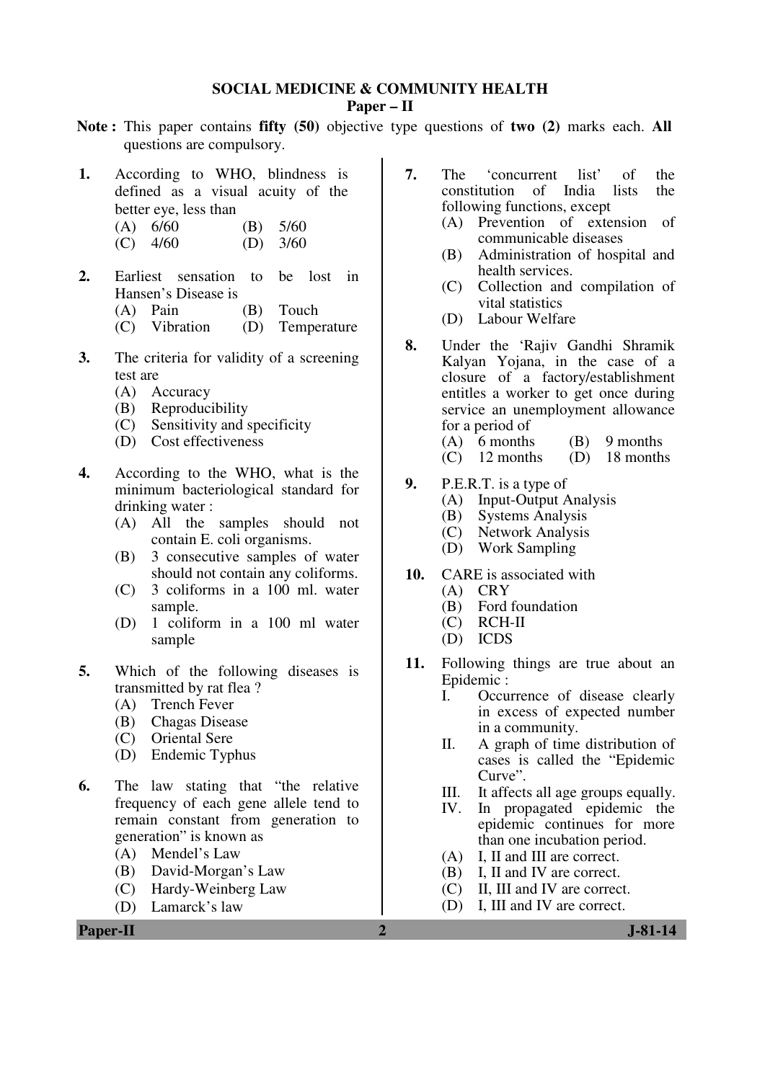### **SOCIAL MEDICINE & COMMUNITY HEALTH**

### **Paper – II**

- **Note :** This paper contains **fifty (50)** objective type questions of **two (2)** marks each. **All** questions are compulsory.
- **1.** According to WHO, blindness is defined as a visual acuity of the better eye, less than
	- $(A)$  6/60  $(B)$  5/60
	- $(C)$  4/60  $(D)$  3/60
- **2.** Earliest sensation to be lost in Hansen's Disease is
	- (A) Pain (B) Touch
	- (C) Vibration (D) Temperature
- **3.** The criteria for validity of a screening test are
	- (A) Accuracy
	- (B) Reproducibility
	- (C) Sensitivity and specificity
	- (D) Cost effectiveness
- **4.** According to the WHO, what is the minimum bacteriological standard for drinking water :
	- (A) All the samples should not contain E. coli organisms.
	- (B) 3 consecutive samples of water should not contain any coliforms.
	- (C) 3 coliforms in a 100 ml. water sample.
	- (D) 1 coliform in a 100 ml water sample
- **5.** Which of the following diseases is transmitted by rat flea ?
	- (A) Trench Fever
	- (B) Chagas Disease
	- (C) Oriental Sere
	- (D) Endemic Typhus
- **6.** The law stating that "the relative frequency of each gene allele tend to remain constant from generation to generation" is known as
	- (A) Mendel's Law
	- (B) David-Morgan's Law
	- (C) Hardy-Weinberg Law
	- (D) Lamarck's law
- **7.** The 'concurrent list' of the constitution of India lists the constitution of India following functions, except
	- (A) Prevention of extension of communicable diseases
	- (B) Administration of hospital and health services.
	- (C) Collection and compilation of vital statistics
	- (D) Labour Welfare
- **8.** Under the 'Rajiv Gandhi Shramik Kalyan Yojana, in the case of a closure of a factory/establishment entitles a worker to get once during service an unemployment allowance for a period of
	- (A) 6 months (B) 9 months
	- (C) 12 months (D) 18 months
- **9.** P.E.R.T. is a type of
	- (A) Input-Output Analysis
	- (B) Systems Analysis<br>(C) Network Analysis
	- Network Analysis
	- (D) Work Sampling
- **10.** CARE is associated with
	- (A) CRY
	- (B) Ford foundation
	- (C) RCH-II
	- (D) ICDS
- **11.** Following things are true about an Epidemic :<br>I. Occu
	- Occurrence of disease clearly in excess of expected number in a community.
	- II. A graph of time distribution of cases is called the "Epidemic Curve".
	- III. It affects all age groups equally.
	- IV. In propagated epidemic the epidemic continues for more than one incubation period.
	- (A) I, II and III are correct.
	- (B) I, II and IV are correct.
	- (C) II, III and IV are correct.
	- (D) I, III and IV are correct.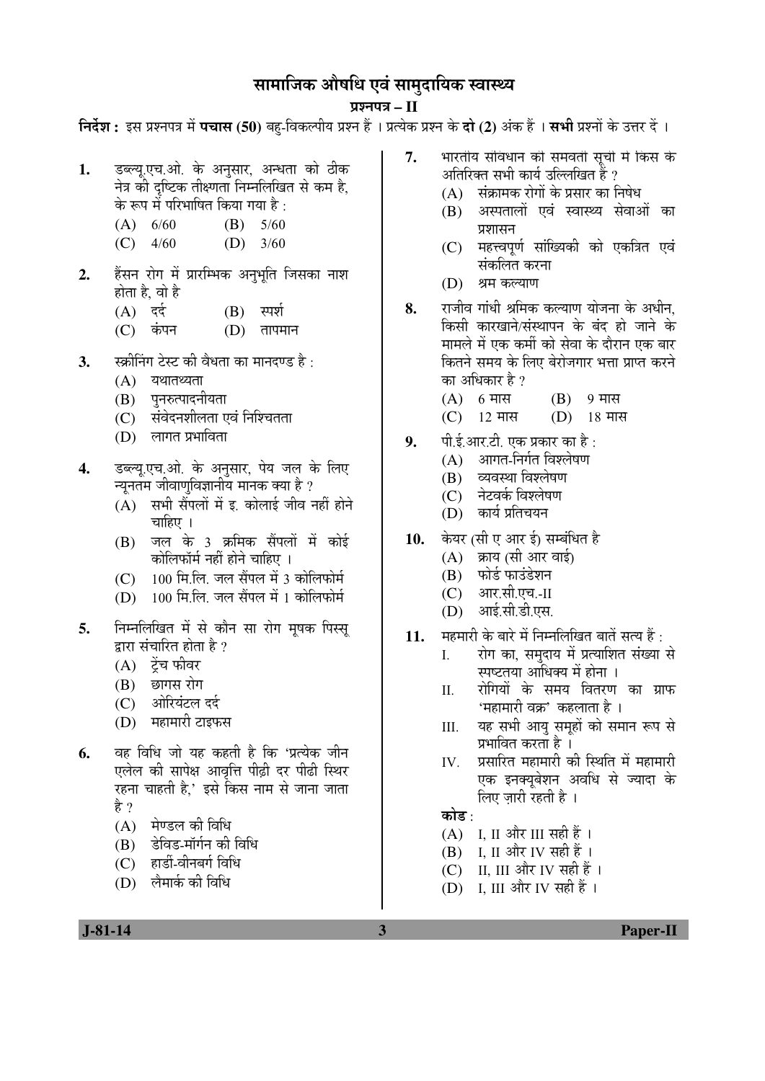## सामाजिक औषधि एवं सामुदायिक स्वास्थ्य

### ¯ÖÏ¿®Ö¯Ö¡Ö **– II**

**निर्देश :** इस प्रश्नपत्र में **पचास (50)** बह-विकल्पीय प्रश्न हैं । प्रत्येक प्रश्न के **दो (2)** अंक हैं । **सभी** प्रश्नों के उत्तर दें ।

- 1. डब्ल्यृ.एच.ओ. के अनुसार, अन्धता को ठीक नेत्र की दृष्टिक तीक्ष्णता निम्नलिखित से कम है, के रूप में परिभाषित किया गया है :
	- (A)  $6/60$  (B)  $5/60$
	- (C)  $4/60$  (D)  $3/60$
- 2. हेंसन रोग में प्रारम्भिक अनुभृति जिसका नाश होता है, वो है
	- $(A)$   $\vec{\tau}$  $(B)$   $\vec{\tau}$  $(B)$   $\vec{\tau}$
	- (C) कंपन (D) तापमान
- 3. स्क्रीनिंग टेस्ट की वैधता का मानदण्ड है <sup>.</sup>
	- $(A)$  यथातथ्यता
	- (B) पुनरुत्पादनीयता
	- (C) संवेदनशीलता एवं निश्चितता
	- $(D)$  लागत प्रभाविता
- **4.** ›ü²»µÖæ.‹"Ö.†Öê. Ûêú †®ÖãÃÖÖ¸ü, ¯ÖêµÖ •Ö»Ö Ûêú ×»Ö‹ च्युनतम जीवाणुविज्ञानीय मानक क्या है ?
	- $(A)$  सभी सैंपलों में इ. कोलाई जीव नहीं होने चाहिए ।
	- $(B)$  जल के 3 क्रमिक सैंपलों में कोई कोलिफॉर्म नहीं होने चाहिए ।
	- $(C)$   $100$  मि.लि. जल सैंपल में 3 कोलिफोर्म
	- $(D)$   $100$  मि.लि. जल सैंपल में 1 कोलिफोर्म
- 5. निम्नलिखित में से कौन सा रोग मुषक पिस्स् द्वारा संचारित होता है ?
	- $(A)$  ट्रेंच फीवर
	- (B) छागस रोग
	- (C) ओरियंटल दर्द
	- (D) महामारी टाइफस
- **6.** वह विधि जो यह कहती है कि 'प्रत्येक जीन एलेल की सापेक्ष आवत्ति पीढी दर पीढी स्थिर रहना चाहती है,' इसे किस नाम से जाना जाता हे ?
	- $(A)$  मेण्डल की विधि
	- (B) डेविड-मॉर्गन की विधि
	- (C) हार्डी-वीनबर्ग विधि
	- (D) लैमार्क की विधि
- **7.** भारतीय संविधान की समवती सूची में किस के <u>अतिरिक्त सभी कार्य उल्लिखित हैं ?</u>
	- $(A)$  संक्रामक रोगों के प्रसार का निषेध
	- (B) अस्पतालों एवं स्वास्थ्य सेवाओं का प्रशासन
	- (C) महत्त्वपूर्ण सांख्यिकी को एकत्रित एवं संकलित करना
	- (D) श्रम कल्याण
- **8.** राजीव गांधी श्रमिक कल्याण योजना के अधीन. किसी कारखाने/संस्थापन के बंद हो जाने के मामले में एक कर्मी को सेवा के दौरान एक बार कितने समय के लिए बेरोजगार भत्ता प्राप्त करने का अधिकार है ?
	- $(A)$  6 मास  $(B)$  9 मास
	- $(C)$  12 मास  $(D)$  18 मास
- **9.** पी.ई.आर.टी. एक प्रकार का है :
	- $(A)$  आगत-निर्गत विश्लेषण
	- (B) व्यवस्था विश्लेषण
	- (C) नेटवर्क विश्लेषण
	- (D) कार्य प्रतिचयन
- 10. केयर (सी ए आर ई) सम्बंधित है
	- $(A)$  क्राय (सी आर वाई)
	- (B) फोर्ड फाउंडेशन
	- (C) आर.सी.एच.-II
	- (D) आई.सी.डी.एस.
- 11. महमारी के बारे में निम्नलिखित बातें सत्य हैं :
	- I. रोग का, समुदाय में प्रत्याशित संख्या से स्पष्टतया आधिक्य में होना ।
	- II. रोगियों के समय वितरण का ग्राफ 'महामारी वक्र' कहलाता है ।
	- III. यह सभी आय समहों को समान रूप से प्रभावित करता है ।
	- IV. प्रसारित महामारी की स्थिति में महामारी एक इनक्यबेशन अवधि से ज्यादा के लिए जारी रहती है ।

### कोड :

- $(A)$  I, II और III सही हैं।
- $(B)$  I, II और IV सही हैं।
- (C) II, III और IV सही हैं ।
- (D) I, III और IV सही हैं ।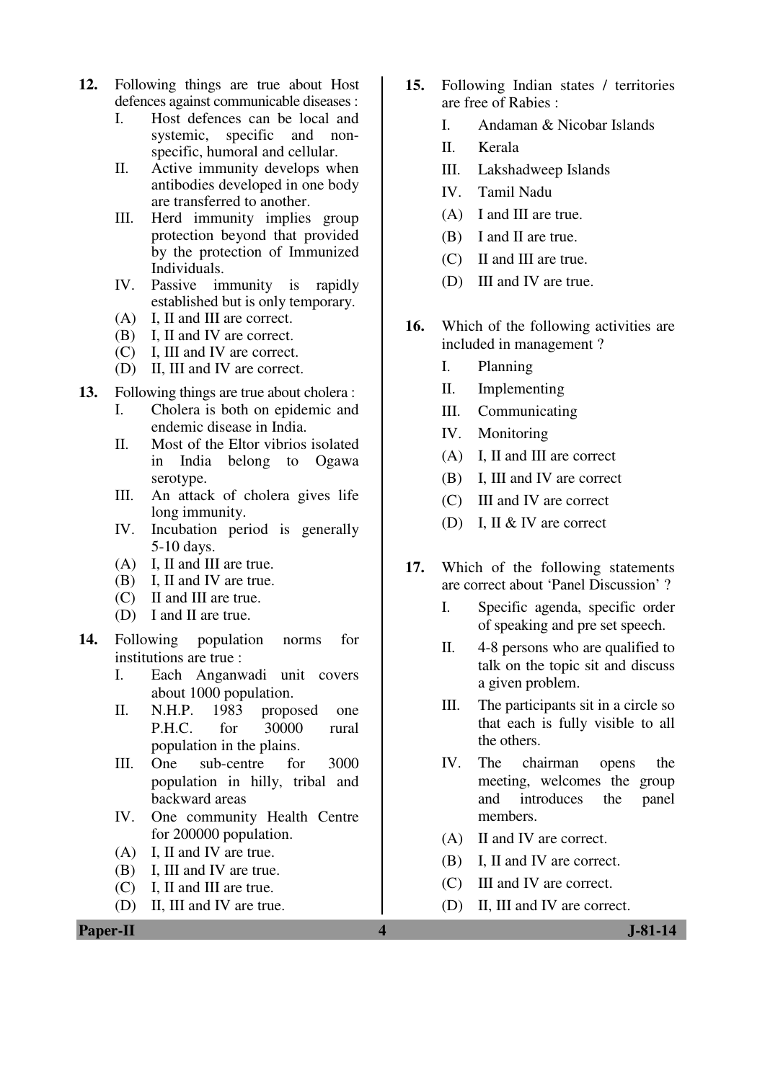- **12.** Following things are true about Host defences against communicable diseases :
	- I. Host defences can be local and systemic, specific and nonspecific, humoral and cellular.
	- II. Active immunity develops when antibodies developed in one body are transferred to another.
	- III. Herd immunity implies group protection beyond that provided by the protection of Immunized Individuals.
	- IV. Passive immunity is rapidly established but is only temporary.
	- (A) I, II and III are correct.
	- (B) I, II and IV are correct.
	- (C) I, III and IV are correct.
	- (D) II, III and IV are correct.
- **13.** Following things are true about cholera :
	- I. Cholera is both on epidemic and endemic disease in India.
	- II. Most of the Eltor vibrios isolated in India belong to Ogawa serotype.
	- III. An attack of cholera gives life long immunity.
	- IV. Incubation period is generally 5-10 days.
	- (A) I, II and III are true.
	- (B) I, II and IV are true.
	- (C) II and III are true.
	- (D) I and II are true.
- **14.** Following population norms for institutions are true :
	- I. Each Anganwadi unit covers about 1000 population.
	- II. N.H.P. 1983 proposed one P.H.C. for 30000 rural population in the plains.
	- III. One sub-centre for 3000 population in hilly, tribal and backward areas
	- IV. One community Health Centre for 200000 population.
	- (A) I, II and IV are true.
	- (B) I, III and IV are true.
	- (C) I, II and III are true.
	- (D) II, III and IV are true.
- **15.** Following Indian states / territories are free of Rabies :
	- I. Andaman & Nicobar Islands
	- II. Kerala
	- III. Lakshadweep Islands
	- IV. Tamil Nadu
	- (A) I and III are true.
	- (B) I and II are true.
	- (C) II and III are true.
	- (D) III and IV are true.
- 16. Which of the following activities are included in management ?
	- I. Planning
	- II. Implementing
	- III. Communicating
	- IV. Monitoring
	- (A) I, II and III are correct
	- (B) I, III and IV are correct
	- (C) III and IV are correct
	- (D) I, II & IV are correct
- **17.** Which of the following statements are correct about 'Panel Discussion' ?
	- I. Specific agenda, specific order of speaking and pre set speech.
	- II. 4-8 persons who are qualified to talk on the topic sit and discuss a given problem.
	- III. The participants sit in a circle so that each is fully visible to all the others.
	- IV. The chairman opens the meeting, welcomes the group and introduces the panel members.
	- (A) II and IV are correct.
	- (B) I, II and IV are correct.
	- (C) III and IV are correct.
	- (D) II, III and IV are correct.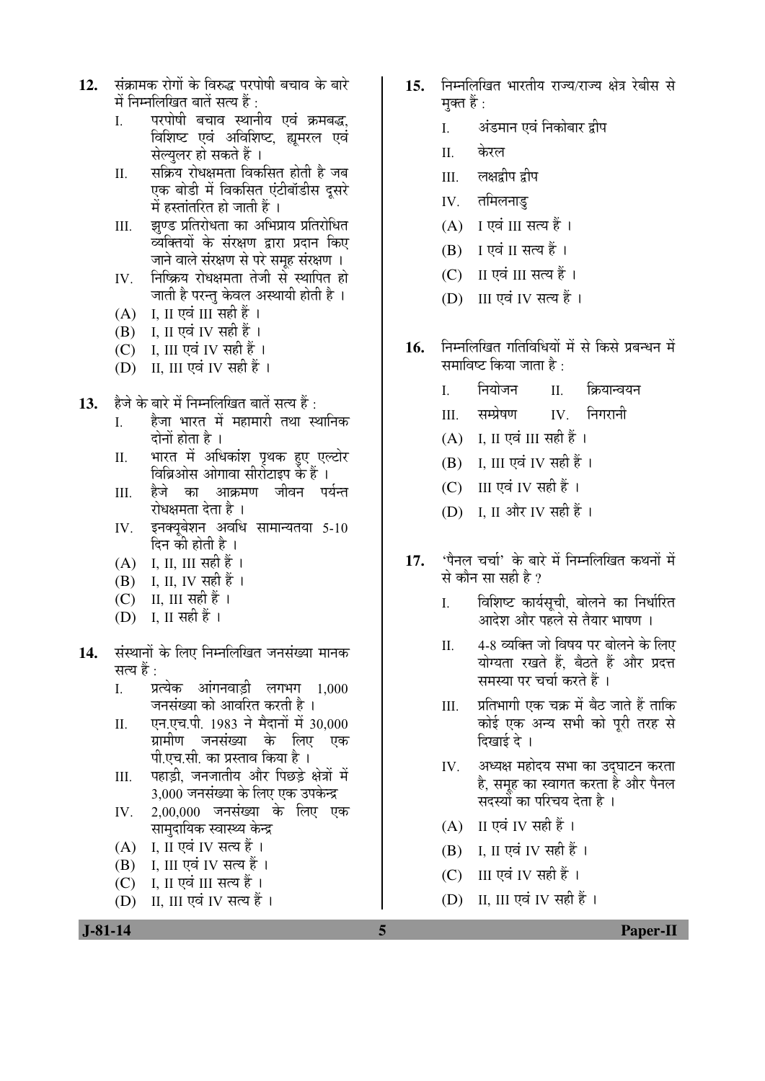- 12. संक्रामक रोगों के विरुद्ध परपोषी बचाव के बारे में निम्नलिखित बातें सत्य हैं :
	- I. परपोषी बचाव स्थानीय एवं क्रमबद्ध, विशिष्ट एवं अविशिष्ट, ह्यूमरल एवं सेल्युलर हो सकते हैं ।
	- II. सक्रिय रोधक्षमता विकसित होती है जब एक बोडी में विकसित एंटीबॉडीस दसरे में हस्तांतरित हो जाती हैं ।
	- III. झण्ड प्रतिरोधता का अभिप्राय प्रतिरोधित व्यक्तियों के संरक्षण द्वारा प्रदान किए जाने वाले संरक्षण से परे समूह संरक्षण ।
	- IV. निष्क्रिय रोधक्षमता तेजी से स्थापित हो <u>जाती है परन्तु केवल अस्थायी होती है</u> ।
	- (A) I, II एवं III सही हैं।
	- $(B)$  I, II एवं IV सही हैं।
	- (C) I, III एवं IV सही हैं।
	- $(D)$  II, III एवं IV सही हैं।
- 13. हैजे के बारे में निम्नलिखित बातें सत्य हैं ·
	- I. हेजा भारत में महामारी तथा स्थानिक दोनों होता है ।
	- II. भारत में अधिकांश पृथक हए एल्टोर विब्रिओस ओगावा सीरोटाइप के हैं ।
	- III. हैजे का आक्रमण जीवन पर्यन्त रोधक्षमता देता है ।
	- IV. इनक्यूबेशन अवधि सामान्यतया 5-10 दिन की होती है ।
	- $(A)$  I, II, III सही हैं।
	- $(B)$  I, II, IV सही हैं ।
	- $(C)$  II, III सही हैं ।
	- $(D)$  I, II सही हैं।
- 14. संस्थानों के लिए निम्नलिखित जनसंख्या मानक सत्य हैं :
	- I. प्रत्येक आंगनवाडी लगभग 1,000 जनसंख्या को आवरित करती है।
	- II. एन.एच.पी. 1983 ने मैदानों में 30,000 ग्रामीण जनसंख्या के लिए एक पी.एच.सी. का प्रस्ताव किया है ।
	- III. पहाड़ी, जनजातीय और पिछड़े क्षेत्रों में 3,000 जनसंख्या के लिए एक उपकेन्द्र
	- IV. 2,00,000 जनसंख्या के लिए एक सामुदायिक स्वास्थ्य केन्द्र
	- $(A)$  I, II एवं IV सत्य हैं।
	- $(B)$  I, III एवं IV सत्य हैं।
	- (C) I, II एवं III सत्य हैं।
	- (D) II, III एवं IV सत्य हैं ।
- 15. निम्नलिखित भारतीय राज्य/राज्य क्षेत्र रेबीस से मक्त हैं :
	- I. अंडमान एवं निकोबार द्वीप
	- II. केरल
	- III. लक्षद्वीप द्रीप
	- $IV.$  तमिलनाड
	- $(A)$  I एवं III सत्य हैं।
	- $(B)$  I एवं II सत्य हैं।
	- $(C)$  II एवं III सत्य हैं।
	- (D) III एवं IV सत्य हैं।
- 16. FEHR ÖST TRED TRED THE THE THE THE THE TH समाविष्ट किया जाता है $\cdot$ 
	- I. नियोजन II. क्रियान्वयन
	- III. सम्प्रेषण IV. निगरानी
	- (A) I, II एवं III सही हैं।
	- (B) I, III एवं IV सही हैं।
	- $(C)$  III एवं IV सही हैं।
	- (D) I, II और IV सही हैं ।
- 17. *'*पैनल चर्चा' के बारे में निम्नलिखित कथनों में से कौन सा सही है ?
	- I. विशिष्ट कार्यसूची, बोलने का निर्धारित आदेश और पहले से तैयार भाषण ।
	- II. 14-8 व्यक्ति जो विषय पर बोलने के लिए योग्यता रखते हैं. बैठते हैं और प्रदत्त समस्या पर चर्चा करते हैं ।
	- III. प्रतिभागी एक चक्र में बैठ जाते हैं ताकि कोई एक अन्य सभी को पूरी तरह से दिखाई दे ।
	- IV. अध्यक्ष महोदय सभा का उदघाटन करता है, समह का स्वागत करता है और पैनल सदस्यों का परिचय देता है ।
	- $(A)$  II एवं IV सही हैं।
	- $(B)$  I, II एवं IV सही हैं।
	- (C) III एवं IV सही हैं।
	- $(D)$  II, III एवं IV सही हैं।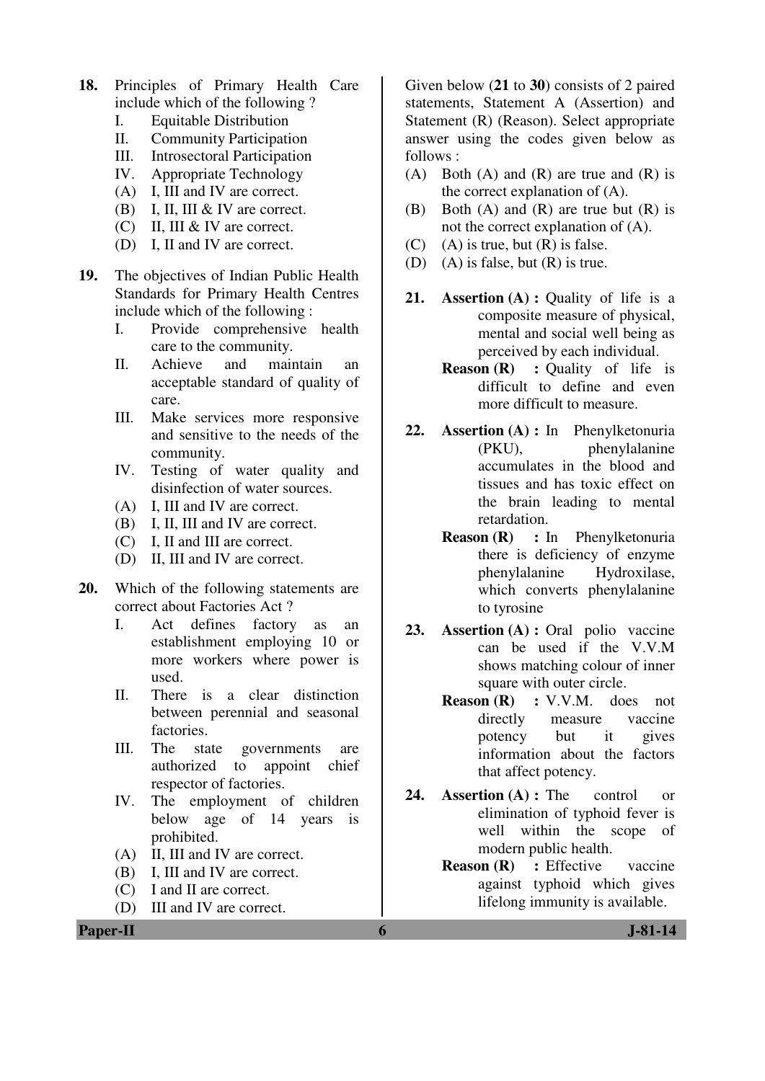- **18.** Principles of Primary Health Care include which of the following ?
	- I. Equitable Distribution
	- II. Community Participation
	- III. Introsectoral Participation
	- IV. Appropriate Technology
	- (A) I, III and IV are correct.
	- (B) I, II, III & IV are correct.
	- (C) II, III & IV are correct.
	- (D) I, II and IV are correct.
- **19.** The objectives of Indian Public Health Standards for Primary Health Centres include which of the following :
	- I. Provide comprehensive health care to the community.
	- II. Achieve and maintain an acceptable standard of quality of care.
	- III. Make services more responsive and sensitive to the needs of the community.
	- IV. Testing of water quality and disinfection of water sources.
	- (A) I, III and IV are correct.
	- (B) I, II, III and IV are correct.
	- (C) I, II and III are correct.
	- (D) II, III and IV are correct.
- **20.** Which of the following statements are correct about Factories Act ?
	- I. Act defines factory as an establishment employing 10 or more workers where power is used.
	- II. There is a clear distinction between perennial and seasonal factories.
	- III. The state governments are authorized to appoint chief respector of factories.
	- IV. The employment of children below age of 14 years is prohibited.
	- (A) II, III and IV are correct.
	- (B) I, III and IV are correct.
	- (C) I and II are correct.
	- (D) III and IV are correct.

Given below (**21** to **30**) consists of 2 paired statements, Statement A (Assertion) and Statement (R) (Reason). Select appropriate answer using the codes given below as follows :

- (A) Both (A) and (R) are true and (R) is the correct explanation of (A).
- (B) Both (A) and (R) are true but (R) is not the correct explanation of (A).
- (C) (A) is true, but  $(R)$  is false.
- (D) (A) is false, but (R) is true.
- **21. Assertion (A) : Quality of life is a** composite measure of physical, mental and social well being as perceived by each individual.
	- **Reason (R)** : Quality of life is difficult to define and even more difficult to measure.
- **22. Assertion (A) :** In Phenylketonuria (PKU), phenylalanine accumulates in the blood and tissues and has toxic effect on the brain leading to mental retardation.
	- **Reason (R) :** In Phenylketonuria there is deficiency of enzyme phenylalanine Hydroxilase, which converts phenylalanine to tyrosine
- **23. Assertion (A) :** Oral polio vaccine can be used if the V.V.M shows matching colour of inner square with outer circle.
	- **Reason (R) :** V.V.M. does not directly measure vaccine potency but it gives information about the factors that affect potency.
- 24. **Assertion (A)**: The control or elimination of typhoid fever is well within the scope of modern public health.
	- **Reason (R)** : Effective vaccine against typhoid which gives lifelong immunity is available.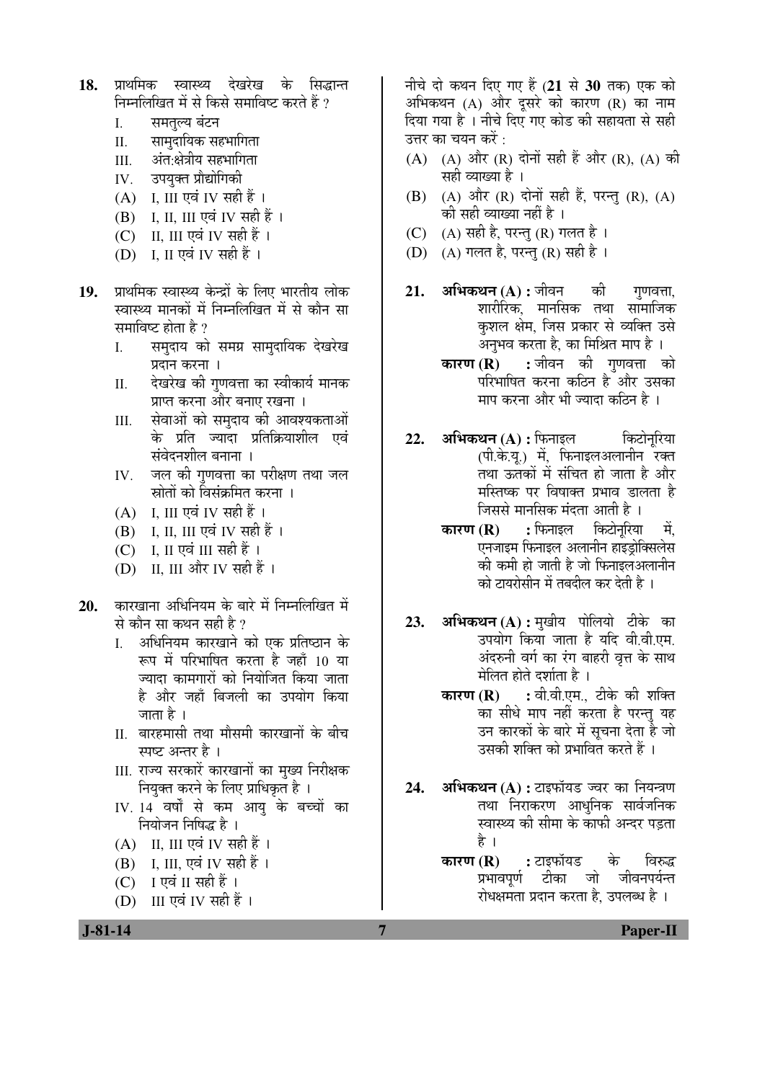- 18. प्राथमिक स्वास्थ्य देखरेख के सिद्धान्त निम्नलिखित में से किसे समाविष्ट करते हैं ?
	- I. समतल्य बंटन
	- II. सामदायिक सहभागिता
	- III. अंत:क्षेत्रीय सहभागिता
	- IV. उपयक्त प्रौद्योगिकी
	- $(A)$  I, III एवं IV सही हैं।
	- (B) I, II, III एवं IV सही हैं ।
	- (C) II, III एवं IV सही हैं।
	- $(D)$  I, II एवं IV सही हैं।
- 19. प्राथमिक स्वास्थ्य केन्द्रों के लिए भारतीय लोक स्वास्थ्य मानकों में निम्नलिखित में से कौन सा समाविष्ट होता है ?
	- I. समुदाय को समग्र सामुदायिक देखरेख प्रदान करना ।
	- II. देखरेख की गणवत्ता का स्वीकार्य मानक प्राप्त करना और बनाए रखना ।
	- III. सेवाओं को समदाय की आवश्यकताओं के प्रति ज्यादा प्रतिक्रियाशील एवं संवेदनशील बनाना ।
	- IV. जल की गणवत्ता का परीक्षण तथा जल स्रोतों को विसंक्रमित करना ।
	- $(A)$  I, III एवं IV सही हैं।
	- $(B)$  I, II, III एवं IV सही हैं ।
	- (C) I, II एवं III सही हैं।
	- (D) II, III और IV सही हैं ।
- 20. Ønरखाना अधिनियम के बारे में निम्नलिखित में से कौन सा कथन सही है ?
	- I. अधिनियम कारखाने को एक प्रतिष्ठान के रूप में परिभाषित करता है जहाँ 10 या ज्यादा कामगारों को नियोजित किया जाता है और जहाँ बिजली का उपयोग किया जाता है ।
	- II. बारहमासी तथा मौसमी कारखानों के बीच स्पष्ट अन्तर है ।
	- III. राज्य सरकारें कारखानों का मुख्य निरीक्षक नियुक्त करने के लिए प्राधिकृत है ।
	- IV. 14 वर्षों से कम आयु के बच्चों का नियोजन निषिद्ध है ।
	- (A) II, III एवं IV सही हैं।
	- (B) I, III, एवं IV सही हैं ।
	- $(C)$  I एवं II सही हैं।
	- (D) III एवं IV सही हैं।

नीचे दो कथन दिए गए हैं (21 से 30 तक) एक को अभिकथन  $(A)$  और दुसरे को कारण  $(R)$  का नाम दिया गया है । नीचे दिए गए कोड की सहायता से सही उत्तर का चयन करें : $\,$ 

- $(A)$   $(A)$  और  $(R)$  दोनों सही हैं और  $(R)$ ,  $(A)$  की सही व्याख्या है ।
- (B) (A) और (R) दोनों सही हैं, परन्तु (R), (A) की सही व्याख्या नहीं है ।
- (C)  $(A)$  सही है, परन्तु (R) गलत है।
- (D) (A) गलत है, परन्तु (R) सही है ।
- 21. **अभिकथन (A) :** जीवन की गणवत्ता. शारीरिक. मानसिक तथा सामाजिक कुशल क्षेम, जिस प्रकार से व्यक्ति उसे अनुभव करता है, का मिश्रित माप है ।
	- **कारण (R) :** जीवन की गुणवत्ता को परिभाषित करना कठिन है<sup>ँ</sup> और उसका माप करना और भी ज्यादा कठिन है ।
- **22. अभिकथन (A) :** फिनाइल किटोनरिया (पी.के.य.) में, फिनाइलअलानीन रक्त तथा ऊतकों में संचित हो जाता है और मस्तिष्क पर विषाक्त प्रभाव डालता है जिससे मानसिक मंदता आती है ।
	- **कारण (R) :** फिनाइल किटोनरिया में. एनजाइम फिनाइल अलानीन हाइडोक्सिलेस की कमी हो जाती है जो फिनाइलअलानीन ेको टायरोसीन में तबदील कर देती है<sup>।</sup>
- **23. अभिकथन (A) :** मुखीय पोलियो टीके का उपयोग किया जाता है यदि वी.वी.एम. अंदरुनी वर्ग का रंग बाहरी वृत्त के साथ ेमेलित होते दर्शाता है ।
	- **कारण (R) :** वी.वी.एम., टीके की शक्ति का सीधे माप नहीं करता है परन्तु यह उन कारकों के बारे में सूचना देता है जो उसकी शक्ति को प्रभावित करते हैं ।
- 24. **अभिकथन (A) :** टाइफॉयड ज्वर का नियन्त्रण तथा निराकरण आधनिक सार्वजनिक स्वास्थ्य की सीमा के काफी अन्दर पडता है ।
	- **कारण (R) :** टाइफॉयड के विरुद्ध प्रभावपर्ण टीका जो जीवनपर्यन्त रोधक्षमता प्रदान करता है. उपलब्ध है ।

 **J-81-14 7 Paper-II**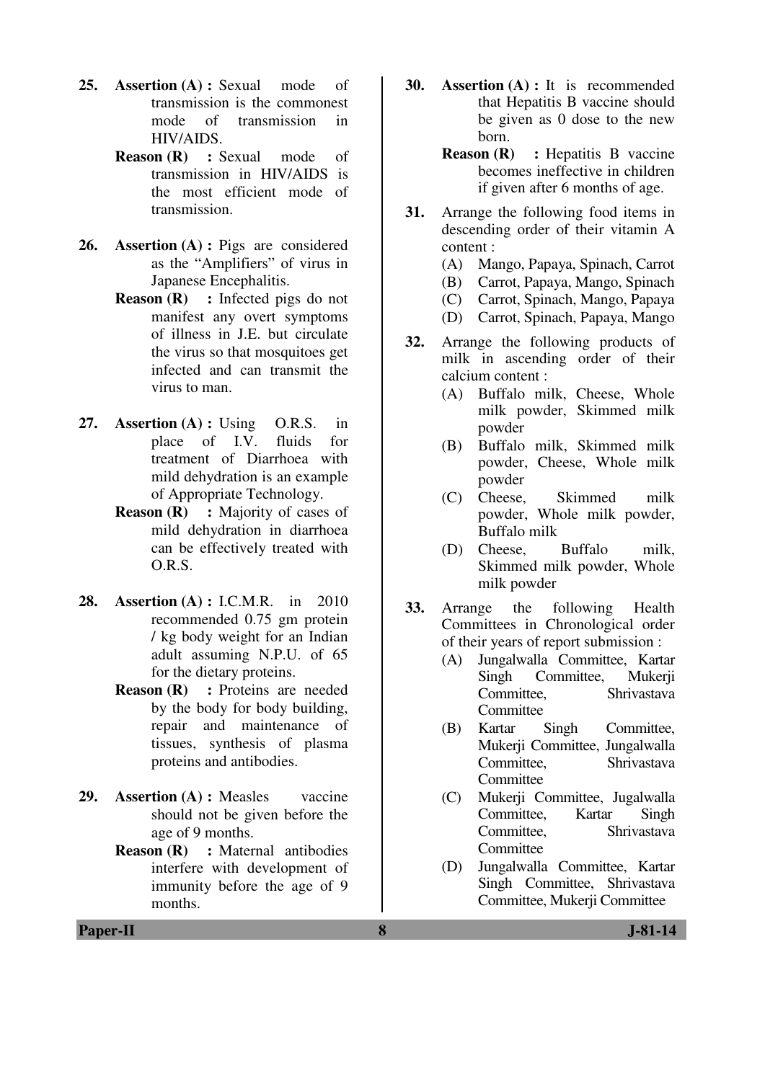- 25. **Assertion (A) : Sexual mode of** transmission is the commonest mode of transmission in HIV/AIDS.
	- **Reason (R) : Sexual mode of** transmission in HIV/AIDS is the most efficient mode of transmission.
- **26. Assertion (A) :** Pigs are considered as the "Amplifiers" of virus in Japanese Encephalitis.
	- **Reason (R)** : Infected pigs do not manifest any overt symptoms of illness in J.E. but circulate the virus so that mosquitoes get infected and can transmit the virus to man.
- **27. Assertion (A) :** Using O.R.S. in place of I.V. fluids for treatment of Diarrhoea with mild dehydration is an example of Appropriate Technology.
	- **Reason (R)** : Majority of cases of mild dehydration in diarrhoea can be effectively treated with O.R.S.
- **28. Assertion (A) :** I.C.M.R. in 2010 recommended 0.75 gm protein / kg body weight for an Indian adult assuming N.P.U. of 65 for the dietary proteins.
	- **Reason (R)** : Proteins are needed by the body for body building, repair and maintenance of tissues, synthesis of plasma proteins and antibodies.
- **29. Assertion (A) :** Measles vaccine should not be given before the age of 9 months.
	- **Reason (R) :** Maternal antibodies interfere with development of immunity before the age of 9 months.
- **30. Assertion (A) :** It is recommended that Hepatitis B vaccine should be given as 0 dose to the new born.
	- **Reason (R)** : Hepatitis B vaccine becomes ineffective in children if given after 6 months of age.
- **31.** Arrange the following food items in descending order of their vitamin A content :
	- (A) Mango, Papaya, Spinach, Carrot
	- (B) Carrot, Papaya, Mango, Spinach
	- (C) Carrot, Spinach, Mango, Papaya
	- (D) Carrot, Spinach, Papaya, Mango
- **32.** Arrange the following products of milk in ascending order of their calcium content :
	- (A) Buffalo milk, Cheese, Whole milk powder, Skimmed milk powder
	- (B) Buffalo milk, Skimmed milk powder, Cheese, Whole milk powder
	- (C) Cheese, Skimmed milk powder, Whole milk powder, Buffalo milk
	- (D) Cheese, Buffalo milk, Skimmed milk powder, Whole milk powder
- **33.** Arrange the following Health Committees in Chronological order of their years of report submission :
	- (A) Jungalwalla Committee, Kartar Singh Committee, Mukerji Committee, Shrivastava **Committee**
	- (B) Kartar Singh Committee, Mukerji Committee, Jungalwalla Committee, Shrivastava **Committee**
	- (C) Mukerji Committee, Jugalwalla Committee, Kartar Singh Committee, Shrivastava **Committee**
	- (D) Jungalwalla Committee, Kartar Singh Committee, Shrivastava Committee, Mukerji Committee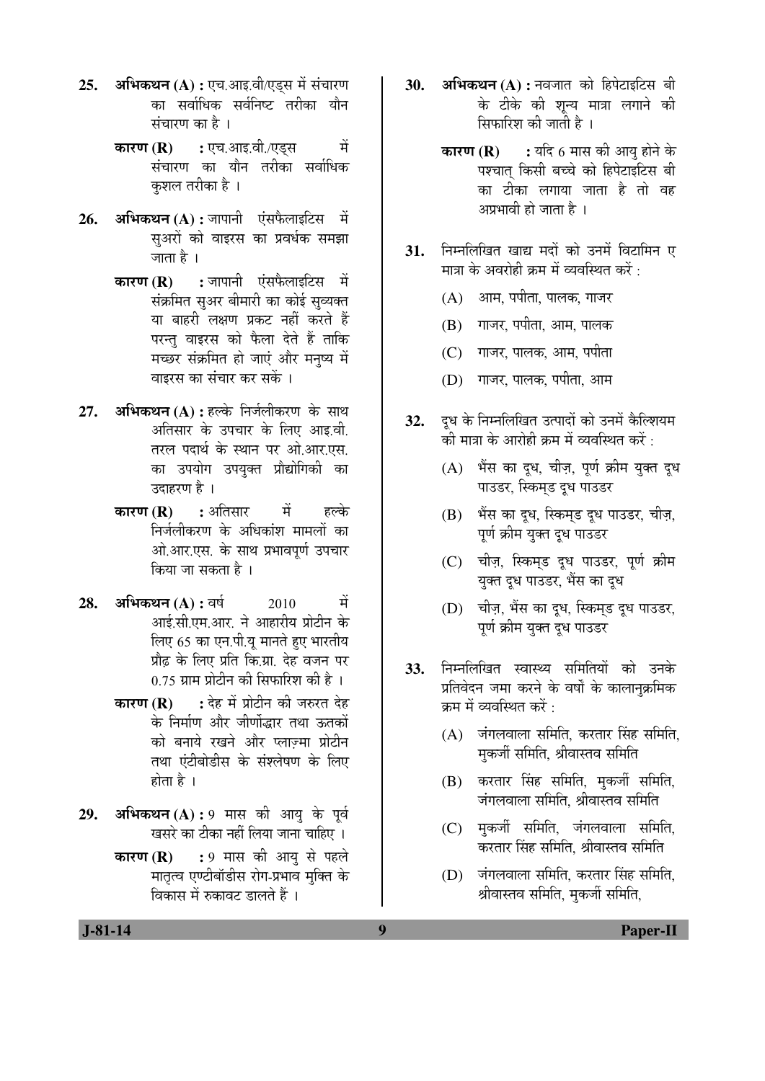- **25. अभिकथन (A) : एच.आइ.वी/एडस में संचारण** का सर्वाधिक सर्वनिष्ट तरीका यौन  $\vec{a}$ चंचारण का है।
	- **कारण (R) :** एच.आइ.वी./एड्स में संचारण का यौन तरीका सर्वाधिक कशल तरीका है ।
- **26. अभिकथन (A) :** जापानी एंसफैलाइटिस में सुअरों को वाइरस का प्रवर्धक समझा जाता है ।
	- **कारण (R) :** जापानी एंसफैलाइटिस में संक्रमित सुअर बीमारी का कोई सुव्यक्त या बाहरी लक्षण प्रकट नहीं करते हैं परन्तु वाइरस को फैला देते हैं ताकि मच्छर संक्रमित हो जाएं और मनष्य में वाइरस का संचार कर सकें ।
- **27. अभिकथन (A) :** हल्के निर्जलीकरण के साथ अतिसार के उपचार के लिए आइ.वी. तरल पदार्थ के स्थान पर ओ.आर.एस. का उपयोग उपयुक्त प्रौद्योगिकी का उदाहरण है ।
	- **कारण (R) :** अतिसार में हल्के निर्जलीकरण के अधिकांश मामलों का ओ.आर.एस. के साथ प्रभावपूर्ण उपचार किया जा सकता है ।
- **28. अभिकथन (A) : वर्ष 2010 में** आई.सी.एम.आर. ने आहारीय प्रोटीन के लिए 65 का एन.पी.यू मानते हुए भारतीय प्रौढ़ के लिए प्रति कि.ग्रा. देह वजन पर 0.75 ग्राम प्रोटीन की सिफारिश की है ।
	- **कारण (R) :** देह में प्रोटीन की जरुरत देह के निर्माण और जीर्णोद्धार तथा ऊतकों को बनाये रखने और प्लाज्मा प्रोटीन तथा एंटीबोडीस के संश्लेषण के लिए होता है $\perp$
- 29. अभिकथन (A) : 9 मास की आयु के पूर्व खसरे का टीका नहीं लिया जाना चाहिए ।
	- **कारण (R) :** 9 मास की आयु से पहले मातृत्व एण्टीबॉडीस रोग-प्रभाव मुक्ति के <u>विकास में रुकावट डालते हैं ।</u>
- 30. अभिकथन (A) : नवजात को हिपेटाइटिस बी के टीके की शून्य मात्रा लगाने की सिफारिश की जाती है ।
	- **कारण (R) :** यदि 6 मास की आयु होने के पश्चात किसी बच्चे को हिपेटाइटिस बी का टीका लगाया जाता है तो वह अप्रभावी हो जाता है ।
- 31. निम्नलिखित खाद्य मदों को उनमें विटामिन ए मात्रा के अवरोही क्रम में व्यवस्थित करें :
	- (A) आम, पपीता, पालक, गाजर
	- (B) गाजर, पपीता, आम, पालक
	- (C) गाजर, पालक, आम, पपीता
	- (D) गाजर, पालक, पपीता, आम
- 32. दूध के निम्नलिखित उत्पादों को उनमें कैल्शियम की मात्रा के आरोही क्रम में व्यवस्थित करें :
	- (A) भैंस का दूध, चीज़, पूर्ण क्रीम युक्त दूध पाउडर, स्किमड दुध पाउडर
	- (B) भैंस का दध. स्किमड दध पाउडर. चीज. पर्ण क्रीम यक्त दध पाउडर
	- (C) चीज़, स्किम्ड दूध पाउडर, पूर्ण क्रीम युक्त दूध पाउडर, भैंस का दूध
	- (D) चीज़, भैंस का दूध, स्किमड दुध पाउडर, पर्ण क्रीम यक्त दध पाउडर
- **33.** निम्नलिखित स्वास्थ्य समितियों को उनके प्रतिवेदन जमा करने के वर्षों के कालानक्रमिक क्रम में व्यवस्थित करें :
	- $(A)$  जंगलवाला समिति, करतार सिंह समिति, मुकर्जी समिति, श्रीवास्तव समिति
	- $(B)$  करतार सिंह समिति, मकर्जी समिति, जंगलवाला समिति, श्रीवास्तव समिति
	- (C) मकर्जी समिति, जंगलवाला समिति, करतार सिंह समिति, श्रीवास्तव समिति
	- (D) जंगलवाला समिति, करतार सिंह समिति, श्रीवास्तव समिति, मुकर्जी समिति,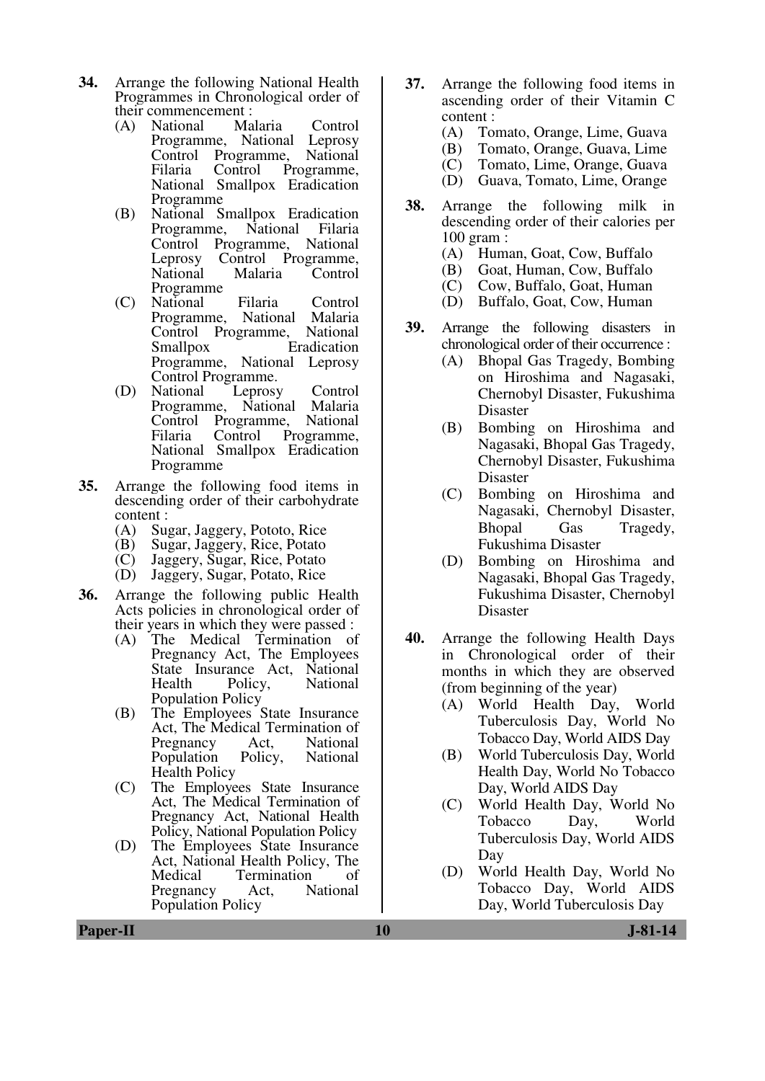- **34.** Arrange the following National Health Programmes in Chronological order of their commencement :<br>(A) National Malaria
	- (A) National Malaria Control Programme, National Leprosy<br>Control Programme, National Control Programme,<br>Filaria Control Pr Filaria Control Programme, National Smallpox Eradication Programme
	- (B) National Smallpox Eradication Programme, National Filaria<br>Control Programme, National Control Programme,<br>Leprosy Control Pi Control Programme,<br>Malaria Control National Programme
	- (C) National Filaria Control Programme, National Malaria<br>Control Programme, National Control Programme,<br>Smallpox l **Eradication** Programme, National Leprosy Control Programme.
	- (D) National Leprosy Control Programme, National Malaria Control Programme, National Programme, National Smallpox Eradication Programme
- **35.** Arrange the following food items in descending order of their carbohydrate content :<br>(A) Sus
	- (A) Sugar, Jaggery, Pototo, Rice
	- (B) Sugar, Jaggery, Rice, Potato<br>(C) Jaggery, Sugar, Rice, Potato
	- (C) Jaggery, Sugar, Rice, Potato
	- Jaggery, Sugar, Potato, Rice
- **36.** Arrange the following public Health Acts policies in chronological order of their years in which they were passed :
	- (A) The Medical Termination of Pregnancy Act, The Employees State Insurance Act, National Health Policy, National Population Policy
	- (B) The Employees State Insurance Act, The Medical Termination of<br>Pregnancy Act. National Pregnancy Act, National<br>Population Policy, National Population Health Policy
	- (C) The Employees State Insurance Act, The Medical Termination of Pregnancy Act, National Health Policy, National Population Policy
	- (D) The Employees State Insurance Act, National Health Policy, The<br>Medical Termination of Termination of<br>Act. National Pregnancy Population Policy
- **37.** Arrange the following food items in ascending order of their Vitamin C content :
	- (A) Tomato, Orange, Lime, Guava
	- (B) Tomato, Orange, Guava, Lime
	- (C) Tomato, Lime, Orange, Guava<br>(D) Guava, Tomato, Lime, Orange
	- Guava, Tomato, Lime, Orange
- **38.** Arrange the following milk in descending order of their calories per 100 gram :
	- (A) Human, Goat, Cow, Buffalo
	- (B) Goat, Human, Cow, Buffalo
	- (C) Cow, Buffalo, Goat, Human
	- (D) Buffalo, Goat, Cow, Human
- **39.** Arrange the following disasters in chronological order of their occurrence :
	- (A) Bhopal Gas Tragedy, Bombing on Hiroshima and Nagasaki, Chernobyl Disaster, Fukushima Disaster
	- (B) Bombing on Hiroshima and Nagasaki, Bhopal Gas Tragedy, Chernobyl Disaster, Fukushima Disaster
	- (C) Bombing on Hiroshima and Nagasaki, Chernobyl Disaster, Bhopal Gas Tragedy, Fukushima Disaster
	- (D) Bombing on Hiroshima and Nagasaki, Bhopal Gas Tragedy, Fukushima Disaster, Chernobyl Disaster
- **40.** Arrange the following Health Days in Chronological order of their months in which they are observed (from beginning of the year)
	- (A) World Health Day, World Tuberculosis Day, World No Tobacco Day, World AIDS Day
	- (B) World Tuberculosis Day, World Health Day, World No Tobacco Day, World AIDS Day
	- (C) World Health Day, World No Tobacco Day, World Tuberculosis Day, World AIDS Day
	- (D) World Health Day, World No Tobacco Day, World AIDS Day, World Tuberculosis Day

**Paper-II** J-81-14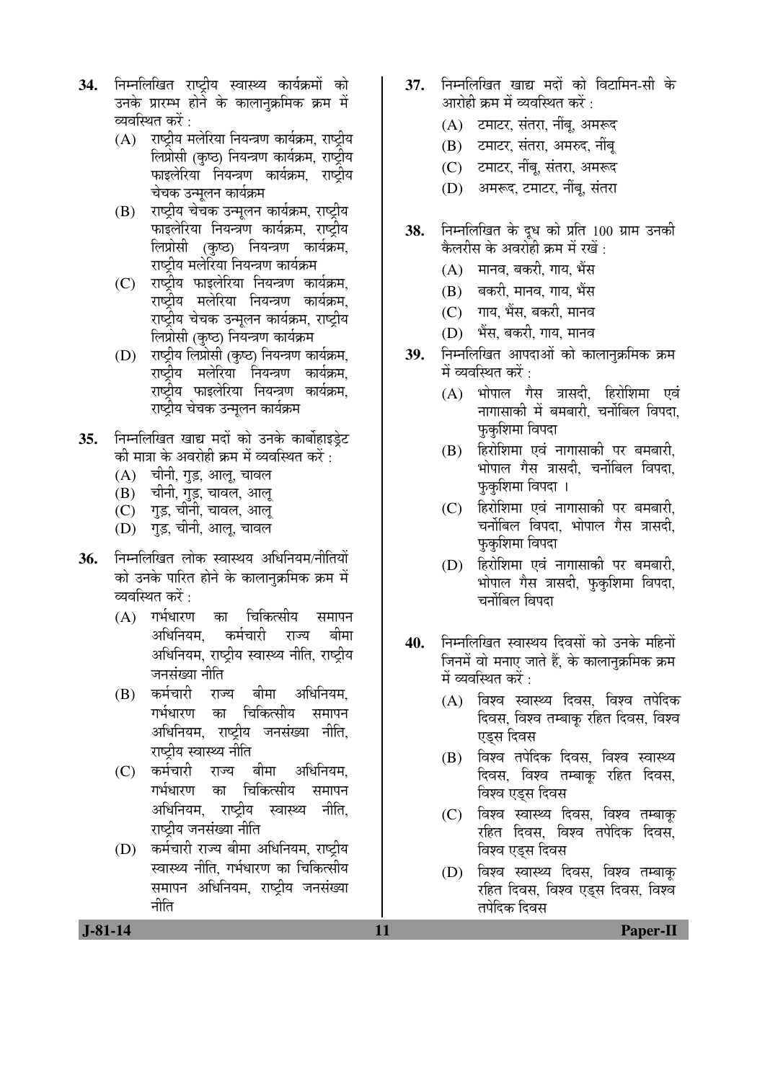- 34. निम्नलिखित राष्टीय स्वास्थ्य कार्यक्रमों को उनके प्रारम्भ होने के कालानुक्रमिक क्रम में व्यवस्थित करें :
	- $(A)$  राष्टीय मलेरिया नियन्त्रण कार्यक्रम, राष्टीय लिप्रोसी (कृष्ठ) नियन्त्रण कार्यक्रम, राष्ट्रीय फाइलेरिया नियन्त्रण कार्यक्रम, राष्ट्रीय चेचक उन्मलन कार्यक्रम
	- (B) राष्ट्रीय चेचक उन्मुलन कार्यक्रम, राष्ट्रीय फाइलेरिया नियन्त्रण कार्यक्रम, राष्ट्रीय लिप्रोसी (कृष्ठ) नियन्त्रण कार्यक्रम, राष्ट्रीय मलेरिया नियन्त्रण कार्यक्रम
	- (C) राष्ट्रीय फाइलेरिया नियन्त्रण कार्यक्रम. राष्ट्रीय मलेरिया नियन्त्रण कार्यक्रम, राष्ट्रीय चेचक उन्मुलन कार्यक्रम, राष्ट्रीय लिप्रोसी (कृष्ठ) नियन्त्रण कार्यक्रम
	- (D) राष्ट्रीय लिप्रोसी (कृष्ठ) नियन्त्रण कार्यक्रम, राष्ट्रीय मलेरिया नियन्त्रण कार्यक्रम, राष्ट्रीय फाइलेरिया नियन्त्रण कार्यक्रम, राष्टीय चेचक उन्मलन कार्यक्रम
- 35. निम्नलिखित खाद्य मदों को उनके कार्बोहाइडेट की मात्रा के अवरोही क्रम में व्यवस्थित करें :
	- (A) चीनी, गुड़, आलू, चावल
	- (B) चीनी, गुड़, चावल, आलू
	- (C) गुड़, चीनी, चावल, आलू
	- (D) गड़, चीनी, आलू, चावल
- **36.** निम्नलिखित लोक स्वास्थय अधिनियम/नीतियों को उनके पारित होने के कालानुक्रमिक क्रम में व्यवस्थित करें :  $\,$ 
	- (A) गर्भधारण का चिकित्सीय समापन अधिनियम. कर्मचारी राज्य बीमा अधिनियम, राष्टीय स्वास्थ्य नीति, राष्टीय जनसंख्या नीति
	- (B) कर्मचारी राज्य बीमा अधिनियम, गर्भधारण का चिकित्सीय समापन अधिनियम, राष्ट्रीय जनसंख्या नीति, राष्टीय स्वास्थ्य नीति
	- (C) कर्मचारी राज्य बीमा अधिनियम. गर्भधारण का चिकित्सीय समापन अधिनियम, राष्ट्रीय स्वास्थ्य नीति, राष्ट्रीय जनसंख्या नीति
	- (D) कर्मचारी राज्य बीमा अधिनियम, राष्टीय स्वास्थ्य नीति. गर्भधारण का चिकित्सीय समापन अधिनियम, राष्ट्रीय जनसंख्या नीति
- 37. निम्नलिखित खाद्य मदों को विटामिन-सी के आरोही क्रम में व्यवस्थित करें :
	- (A) टमाटर, संतरा, नींब, अमरूद
	- (B) टमाटर, संतरा, अमरुद, नींबू
	- (C) टमाटर, नींब, संतरा, अमरूद
	- (D) अमरूद, टमाटर, नींबू, संतरा
- **38.** निम्नलिखित के दूध को प्रति 100 ग्राम उनकी केलरीस के अवरोही क्रम में रखें $\, \cdot \,$ 
	- $(A)$  नानव, बकरी, गाय, भैंस
	- (B) बकरी, मानव, गाय, भैंस
	- (C) गाय, भैंस, बकरी, मानव
	- (D) भैंस, बकरी, गाय, मानव
- 39. निम्नलिखित आपदाओं को कालानुक्रमिक क्रम में व्यवस्थित करें $\cdot$ 
	- $(A)$  भोपाल गैस त्रासदी, हिरोशिमा एवं नागासाकी में बमबारी, चर्नोबिल विपदा, फकशिमा विपदा
	- (B) हिरोशिमा एवं नागासाकी पर बमबारी, भोपाल गैस त्रासदी. चर्नोबिल विपदा. फकशिमा विपदा ।
	- (C) हिरोशिमा एवं नागासाकी पर बमबारी, चर्नोबिल विपदा, भोपाल गैस त्रासदी, फकशिमा विपदा
	- (D) हिरोशिमा एवं नागासाकी पर बमबारी, भोपाल गैस त्रासदी, फुकशिमा विपदा, चर्नोबिल विपदा
- 40. निम्नलिखित स्वास्थय दिवसों को उनके महिनों जिनमें वो मनाए जाते हैं, के कालानुक्रमिक क्रम में व्यवस्थित करें :
	- (A) विश्व स्वास्थ्य दिवस, विश्व तपेदिक दिवस, विश्व तम्बाकु रहित दिवस, विश्व एडस दिवस
	- (B) विश्व तपेदिक दिवस, विश्व स्वास्थ्य दिवस, विश्व तम्बाकू रहित दिवस<u>,</u> विश्व एडस दिवस
	- (C) विश्व स्वास्थ्य दिवस, विश्व तम्बाकू रहित दिवस. विश्व तपेदिक दिवस. विश्व एडस दिवस
	- (D) विश्व स्वास्थ्य दिवस, विश्व तम्बाक रहित दिवस, विश्व एडस दिवस, विश्व तपेदिक दिवस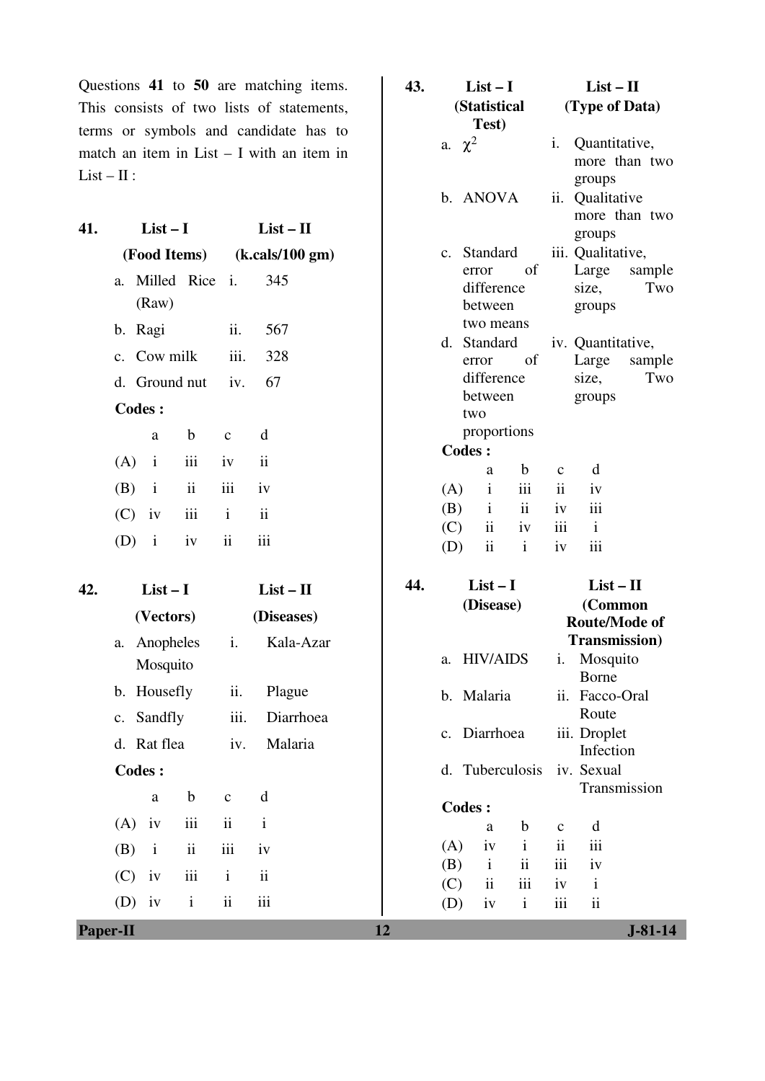Questions **41** to **50** are matching items. This consists of two lists of statements, terms or symbols and candidate has to match an item in List – I with an item in  $List - II:$ 

|     |                                 |                                          |     |             |           | b. ANOVA                                 |                         | ii.                  | Qualitative                             |               |
|-----|---------------------------------|------------------------------------------|-----|-------------|-----------|------------------------------------------|-------------------------|----------------------|-----------------------------------------|---------------|
| 41. | $List-I$                        | $List - II$                              |     |             |           |                                          |                         |                      | groups                                  | more than two |
|     | (Food Items)                    | (k. calls/100 gm)                        |     | $c_{\cdot}$ |           | Standard                                 |                         |                      | iii. Qualitative,                       |               |
|     | Milled Rice i.<br>a.<br>(Raw)   | 345                                      |     |             |           | error<br>difference<br>between           | of                      |                      | Large<br>size,<br>groups                | sample<br>Two |
|     | b. Ragi                         | ii.<br>567                               |     |             |           | two means                                |                         |                      |                                         |               |
|     | Cow milk<br>$\mathbf{c}$ .      | iii.<br>328                              |     | d.          |           | Standard<br>error                        | of                      |                      | iv. Quantitative,<br>Large              | sample        |
|     | d. Ground nut                   | 67<br>iv.                                |     |             |           | difference                               |                         |                      | size,                                   | Two           |
|     | <b>Codes:</b>                   |                                          |     |             |           | between<br>two                           |                         |                      | groups                                  |               |
|     | $\mathbf b$<br>a                | d<br>$\mathbf c$                         |     |             |           | proportions                              |                         |                      |                                         |               |
|     | iii<br>(A)<br>$\mathbf{i}$      | $\ddot{\rm n}$<br>iv                     |     |             | Codes:    |                                          |                         |                      |                                         |               |
|     |                                 |                                          |     |             |           | a                                        | $\mathbf b$             | $\mathbf C$          | d                                       |               |
|     | ii<br>(B)<br>$\mathbf{i}$       | iii<br>iv                                |     | (A)         |           | $\mathbf{i}$                             | iii                     | ii                   | iv                                      |               |
|     | iii<br>(C)<br>iv                | $\overline{\textbf{ii}}$<br>$\mathbf{i}$ |     | (B)         |           | $\mathbf{i}$<br>$\overline{\textbf{ii}}$ | $\ddot{\rm ii}$         | iv<br>iii            | iii<br>$\mathbf{i}$                     |               |
|     | (D)<br>$\mathbf{i}$<br>iv       | iii<br>ii                                |     | (C)<br>(D)  |           | $\overline{\mathbf{ii}}$                 | iv<br>$\mathbf{i}$      | iv                   | iii                                     |               |
| 42. | $List-I$                        | $List - II$                              | 44. |             |           | $List-I$                                 |                         |                      | $List - II$                             |               |
|     |                                 |                                          |     |             | (Disease) |                                          |                         | (Common              |                                         |               |
|     | (Vectors)                       | (Diseases)                               |     |             |           |                                          |                         | <b>Route/Mode of</b> |                                         |               |
|     | Anopheles<br>a.<br>Mosquito     | i.<br>Kala-Azar                          |     | a.          |           | <b>HIV/AIDS</b>                          |                         | i.                   | <b>Transmission</b> )<br>Mosquito       |               |
|     | b. Housefly                     | ii.<br>Plague                            |     |             |           |                                          |                         |                      | Borne                                   |               |
|     | Sandfly<br>c.                   | Diarrhoea<br>iii.                        |     |             |           | b. Malaria                               |                         | ii.                  | Facco-Oral<br>Route                     |               |
|     | Rat flea<br>d.                  | Malaria<br>iv.                           |     |             |           | c. Diarrhoea                             |                         |                      | iii. Droplet                            |               |
|     | Codes:                          |                                          |     |             |           | d. Tuberculosis                          |                         |                      | Infection<br>iv. Sexual                 |               |
|     |                                 |                                          |     |             |           |                                          |                         |                      | Transmission                            |               |
|     | $\mathbf b$<br>$\rm{a}$         | $\mathbf d$<br>$\mathbf{C}$              |     |             |           | <b>Codes:</b>                            |                         |                      |                                         |               |
|     | iii<br>(A)<br>iv                | $\rm ii$<br>$\mathbf{i}$                 |     |             |           | a                                        | $\mathbf b$             | $\mathbf{C}$         | d                                       |               |
|     | $\rm ii$<br>(B)<br>$\mathbf{i}$ | iii<br>iv                                |     | (A)         |           | iv                                       | $\mathbf{i}$            | $\rm ii$             | iii                                     |               |
|     | iii<br>(C)<br>iv                | $\rm ii$<br>$\mathbf{i}$                 |     | (B)         |           | $\mathbf{i}$                             | $\overline{\mathbf{u}}$ | iii                  | iv                                      |               |
|     | $\rm i$<br>iv<br>(D)            | iii<br>$\rm ii$                          |     | (C)<br>(D)  |           | $\overline{\mathbf{u}}$<br>iv            | iii<br>$\mathbf{i}$     | iv<br>iii            | $\mathbf{i}$<br>$\overline{\mathbf{u}}$ |               |
|     |                                 |                                          |     |             |           |                                          |                         |                      |                                         |               |
|     | <b>Paper-II</b>                 |                                          | 12  |             |           |                                          |                         |                      |                                         | $J-81-14$     |

**43. List – I** 

a.  $\chi^2$ 

**(Statistical Test)** 

**List – II (Type of Data)** 

i. Quantitative,

groups

more than two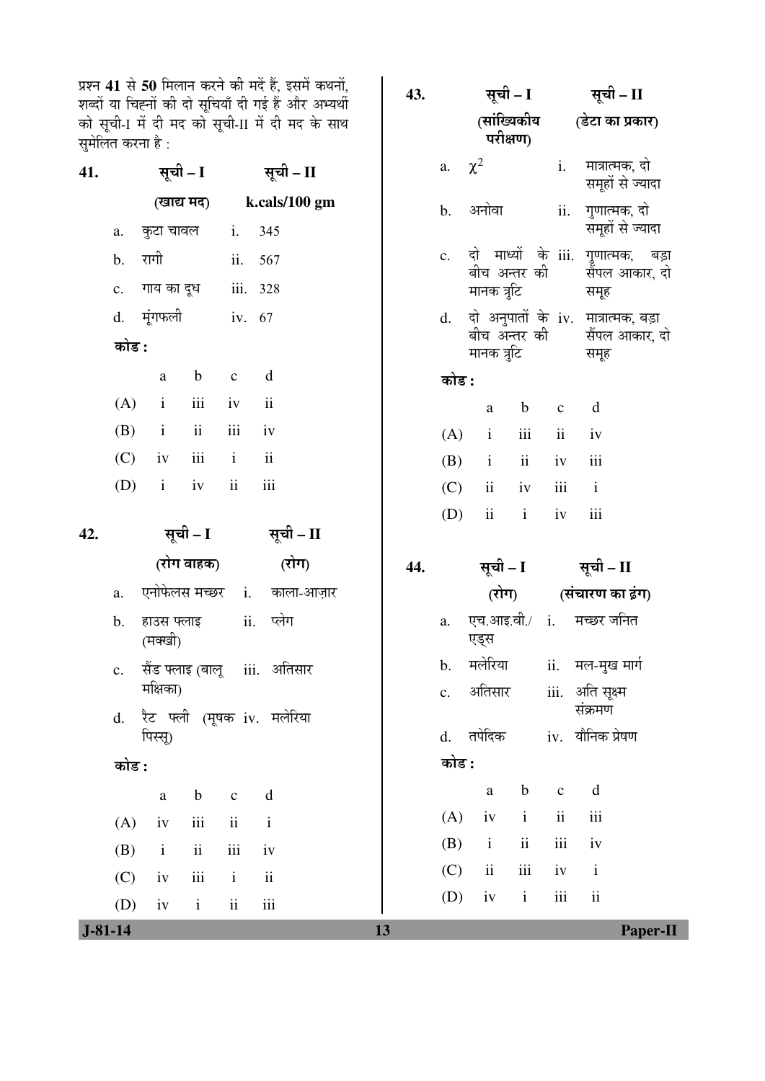प्रश्न 41 से 50 मिलान करने की मदें हैं, इसमें कथनों, शब्दों या चिह्नों की दो सूचियाँ दी गई हैं और अभ्यर्थी ÛúÖê ÃÖæ"Öß-I ´Öë ¤üß ´Ö¤ü ÛúÖê ÃÖæ"Öß-II ´Öë ¤üß ´Ö¤ü Ûêú ÃÖÖ£Ö ँ...<br>सुमेलित करना है :

| 41. |                     | सूची - I         |                | सूची - II                  |     | a.             | $\chi^2$                    |                          | $\mathbf{i}$ .           | मात्रात्मक, दो<br>समूहों से ज्यादा  |                 |
|-----|---------------------|------------------|----------------|----------------------------|-----|----------------|-----------------------------|--------------------------|--------------------------|-------------------------------------|-----------------|
|     |                     | (खाद्य मद)       |                | k.cals/100 gm              |     | $\mathbf b$ .  | अनोवा                       |                          | ii.                      | गुणात्मक, दो                        |                 |
|     | a.                  | कुटा चावल        | i.             | 345                        |     |                |                             |                          |                          | समूहों से ज्यादा                    |                 |
|     | रागी<br>b.          |                  | ii.            | 567                        |     | $\mathbf{c}$ . | दो<br>बीच अन्तर की          |                          | माध्यों के iii.          | गुणात्मक, बड़ा<br>सैंपल आकार, दो    |                 |
|     | $\mathbf{c}$ .      | गाय का दूध       | iii.           | 328                        |     |                | मानक त्रुटि                 |                          |                          | समूह                                |                 |
|     | मूंगफली<br>d.       |                  | iv. 67         |                            |     | d.             |                             |                          |                          | दो अनुपातों के iv. मात्रात्मक, बड़ा |                 |
|     | कोड :               |                  |                |                            |     |                | बीच अन्तर की<br>मानक त्रुटि |                          |                          | सैंपल आकार, दो<br>समूह              |                 |
|     | $\rm{a}$            | $\mathbf b$      | $\mathbf{C}$   | $\mathbf d$                |     | कोड :          |                             |                          |                          |                                     |                 |
|     | (A)<br>$\mathbf{i}$ | iii              | iv             | ii                         |     |                | $\rm{a}$                    | $\mathbf b$              | $\mathbf{C}$             | d                                   |                 |
|     | (B)<br>$\mathbf{i}$ | $\rm ii$         | iii            | iv                         |     | (A)            | $\mathbf{i}$                | iii                      | $\overline{\mathbf{ii}}$ | iv                                  |                 |
|     | (C)<br>iv           | iii              | $\mathbf{i}$   | $\mathbf{ii}$              |     | (B)            | $\mathbf{i}$                | $\overline{\textbf{ii}}$ | iv                       | iii                                 |                 |
|     | (D)<br>$\mathbf{i}$ | iv               | $\rm ii$       | iii                        |     | (C)            | $\overline{\textbf{ii}}$    | iv                       | iii                      | $\mathbf{i}$                        |                 |
|     |                     |                  |                |                            |     | (D)            | $\rm ii$                    | $\mathbf{i}$             | iv                       | iii                                 |                 |
| 42. |                     | सूची – I         |                | सूची – II                  |     |                |                             |                          |                          |                                     |                 |
|     |                     | (रोग वाहक)       |                | (रोग)                      | 44. |                | सूची – I                    |                          |                          | सूची - II                           |                 |
|     | a.                  | एनोफेलस मच्छर    | $\mathbf{i}$ . | काला-आज़ार                 |     |                | (रोग)                       |                          |                          | (संचारण का ढ़ंग)                    |                 |
|     | b.<br>(मक्खी)       | हाउस फ्लाइ       | ii.            | प्लेग                      |     | a.             | एच.आइ.वी./ i.<br>एड्स       |                          |                          | मच्छर जनित                          |                 |
|     | $\mathbf{c}$ .      | सैंड फ्लाइ (बालू |                | iii. अतिसार                |     | b.             | मलेरिया                     |                          | ii.                      | मल-मुख मार्ग                        |                 |
|     | मक्षिका)<br>d.      |                  |                | रैट फ्ली (मूषक iv. मलेरिया |     | $\mathbf{c}$ . | अतिसार                      |                          |                          | iii. अति सूक्ष्म<br>संक्रमण         |                 |
|     | पिस्सू)             |                  |                |                            |     | d.             | तपेदिक                      |                          |                          | iv. यौनिक प्रेषण                    |                 |
|     | कोड :               |                  |                | कोड :                      |     |                |                             |                          |                          |                                     |                 |
|     | $\rm{a}$            | $\mathbf b$      | $\mathbf{C}$   | $\mathbf d$                |     |                | $\rm{a}$                    | $\mathbf b$              | $\mathbf{C}$             | $\mathbf d$                         |                 |
|     | (A)<br>iv           | $\,$ iii         | $\rm ii$       | $\mathbf{i}$               |     | (A)            | iv                          | $\mathbf{i}$             | $\overline{\mathbf{ii}}$ | iii                                 |                 |
|     | $\rm i$<br>(B)      | $\rm ii$         | iii            | iv                         |     | (B)            | $\mathbf{i}$                | $\rm ii$                 | iii                      | iv                                  |                 |
|     | (C)<br>iv           | $\,$ iii         | $\mathbf{i}$   | $\rm ii$                   |     | (C)            | $\rm ii$                    | $\rm iii$                | iv                       | $\mathbf{i}$                        |                 |
|     | (D)<br>iv           | $\mathbf{i}$     | $\rm ii$       | iii                        |     | (D)            | iv                          | $\mathbf{i}$             | iii                      | $\mathbf{ii}$                       |                 |
|     | $J - 81 - 14$       |                  |                |                            | 13  |                |                             |                          |                          |                                     | <b>Paper-II</b> |

**43.** सूची – I

(सांख्यिकीय ्…्<br>परीक्षण)

सूची – II

(डेटा का प्रकार)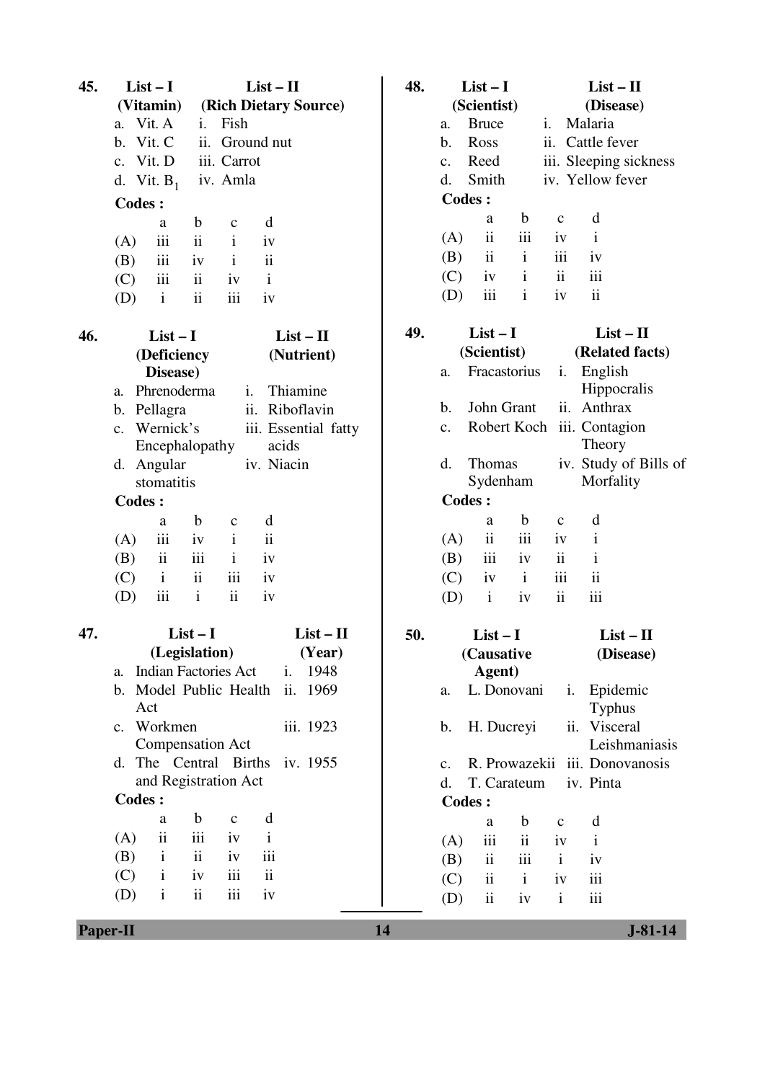| 45.                   | $List-I$             |                               | $List - II$              |                     |                          |                      | 48.         |                        | $List-I$                |              | $List - II$            |                            |                        |
|-----------------------|----------------------|-------------------------------|--------------------------|---------------------|--------------------------|----------------------|-------------|------------------------|-------------------------|--------------|------------------------|----------------------------|------------------------|
|                       | (Vitamin)            |                               | (Rich Dietary Source)    |                     |                          |                      | (Scientist) |                        |                         | (Disease)    |                        |                            |                        |
|                       |                      | a. Vit. A<br>Fish<br>i.       |                          |                     | <b>Bruce</b><br>a.       |                      |             | Malaria<br>i.          |                         |              |                        |                            |                        |
|                       | b.                   | Vit. C                        |                          | ii. Ground nut      |                          |                      |             | Ross<br>$\mathbf b$ .  |                         |              | ii.                    | Cattle fever               |                        |
|                       |                      | c. Vit. D                     |                          | iii. Carrot         |                          |                      |             | c.                     | Reed                    |              |                        |                            | iii. Sleeping sickness |
|                       |                      | d. Vit. $B_1$                 |                          | iv. Amla            |                          |                      |             | d.                     | Smith                   |              |                        | iv. Yellow fever           |                        |
|                       | <b>Codes:</b>        |                               |                          |                     |                          |                      |             |                        | <b>Codes:</b>           |              |                        |                            |                        |
|                       |                      | a                             | b                        | $\mathbf{C}$        | d                        |                      |             |                        | a                       | $\mathbf b$  | $\mathbf C$            | d                          |                        |
|                       | (A)                  | $\overline{111}$              | $\ddot{\rm ii}$          | $\mathbf{i}$        | iv                       |                      |             | (A)                    | ii                      | iii          | iv                     | $\mathbf{i}$               |                        |
|                       | (B)                  | iii                           | iv                       | $\mathbf{i}$        | $\mathbf{ii}$            |                      |             | (B)                    | $\overline{\mathbf{u}}$ | $\mathbf{i}$ | iii                    | iv                         |                        |
|                       | (C)                  | iii                           | ii                       | iv                  | $\mathbf{i}$             |                      |             | (C)                    | iv                      | $\mathbf{i}$ | ii                     | iii                        |                        |
|                       | (D)                  | $\mathbf{i}$                  | $\mathbf{ii}$            | iii                 | iv                       |                      |             | (D)                    | iii                     | $\mathbf{i}$ | iv                     | $\mathbf{ii}$              |                        |
| 46.                   |                      | $List-I$                      |                          |                     |                          | $List-II$            | 49.         |                        | $List-I$                |              |                        | $List - II$                |                        |
|                       |                      | (Deficiency                   |                          |                     |                          | (Nutrient)           |             |                        | (Scientist)             |              |                        | (Related facts)            |                        |
|                       |                      | Disease)                      |                          |                     |                          |                      |             | a.                     | Fracastorius            |              | i.                     | English                    |                        |
|                       | a.                   | Phrenoderma                   |                          |                     | $\mathbf{i}$ .           | Thiamine             |             |                        |                         |              |                        | Hippocralis                |                        |
|                       |                      | b. Pellagra                   |                          |                     |                          | ii. Riboflavin       |             | $\mathbf b$ .          | John Grant              |              |                        | ii. Anthrax                |                        |
|                       | $c_{\cdot}$          | Wernick's                     |                          |                     |                          | iii. Essential fatty |             | $C_{\bullet}$          |                         |              |                        | Robert Koch iii. Contagion |                        |
|                       |                      | Encephalopathy                |                          |                     |                          | acids                |             |                        |                         |              |                        | Theory                     |                        |
|                       |                      | d. Angular                    |                          |                     |                          | iv. Niacin           |             | d.                     | <b>Thomas</b>           |              |                        |                            | iv. Study of Bills of  |
|                       |                      | stomatitis                    |                          |                     |                          |                      |             |                        | Sydenham                |              | Morfality              |                            |                        |
|                       | <b>Codes:</b>        |                               |                          |                     |                          |                      |             |                        | <b>Codes:</b>           |              |                        |                            |                        |
|                       |                      | a                             | $\mathbf b$              | $\mathbf c$         | d                        |                      |             |                        | a                       | $\mathbf b$  | $\mathbf C$            | d                          |                        |
|                       | (A)                  | iii                           | iv                       | $\mathbf{i}$        | $\ddot{\rm ii}$          |                      |             | (A)                    | ii                      | iii          | iv                     | $\mathbf{i}$               |                        |
|                       | (B)                  | $\mathbf{ii}$                 | iii                      | $\mathbf{i}$        | iv                       |                      |             | (B)                    | iii                     | iv           | ii                     | $\mathbf{i}$               |                        |
|                       | (C)                  | $\mathbf{i}$                  | $\rm ii$                 | iii                 | iv                       |                      |             | (C)                    | iv                      | $\mathbf{i}$ | iii                    | $\mathbf{ii}$              |                        |
|                       | (D)                  | iii                           | $\mathbf{i}$             | $\ddot{\mathbf{i}}$ | iv                       |                      |             | (D)                    | $\mathbf{i}$            | iv           | $\mathbf{ii}$          | iii                        |                        |
| 47.                   |                      |                               | $List-I$                 |                     |                          | $List - II$          | 50.         | $List-I$<br>(Causative |                         |              | $List-II$<br>(Disease) |                            |                        |
|                       |                      | (Legislation)                 |                          |                     |                          | (Year)               |             |                        |                         |              |                        |                            |                        |
|                       | a.                   | <b>Indian Factories Act</b>   |                          |                     |                          | i.<br>1948           |             |                        | Agent)                  |              |                        |                            |                        |
|                       |                      | b. Model Public Health<br>Act |                          |                     |                          | 1969<br>ii.          |             | a.                     | L. Donovani             |              | i.                     | Epidemic<br><b>Typhus</b>  |                        |
|                       |                      | c. Workmen                    |                          |                     |                          | iii. 1923            |             | b.                     | H. Ducreyi              |              | ii.                    | Visceral                   |                        |
|                       |                      | <b>Compensation Act</b>       |                          |                     |                          |                      |             |                        |                         |              |                        |                            | Leishmaniasis          |
|                       |                      | d. The Central Births         |                          |                     |                          | iv. 1955             |             | $C_{\bullet}$          | R. Prowazekii           |              |                        |                            | iii. Donovanosis       |
|                       | and Registration Act |                               |                          |                     |                          | d.                   | T. Carateum |                        |                         | iv. Pinta    |                        |                            |                        |
|                       | <b>Codes:</b>        |                               |                          |                     |                          |                      |             |                        | <b>Codes:</b>           |              |                        |                            |                        |
|                       |                      | a                             | $\mathbf b$              | $\mathbf C$         | d                        |                      |             |                        | a                       | b            | C                      | d                          |                        |
|                       | (A)                  | $\mathbf{ii}$                 | iii                      | iv                  | $\mathbf{i}$             |                      |             | (A)                    | iii                     | ii           | iv                     | $\mathbf{i}$               |                        |
|                       | (B)                  | $\mathbf{i}$                  | ii                       | iv                  | iii                      |                      |             | (B)                    | ii                      | iii          | $\mathbf{i}$           | iv                         |                        |
|                       | (C)                  | $\mathbf{i}$                  | iv                       | iii                 | $\overline{\mathbf{ii}}$ |                      |             | (C)                    | $\mathbf{ii}$           | $\mathbf{i}$ | iv                     | iii                        |                        |
|                       | (D)                  | $\mathbf{i}$                  | $\overline{\mathbf{ii}}$ | iii                 | iv                       |                      |             | (D)                    | ii                      | iv           | $\mathbf{i}$           | iii                        |                        |
|                       |                      |                               |                          |                     |                          |                      |             |                        |                         |              |                        |                            |                        |
| 14<br><b>Paper-II</b> |                      |                               |                          |                     |                          |                      |             |                        |                         |              |                        |                            | $J - 81 - 14$          |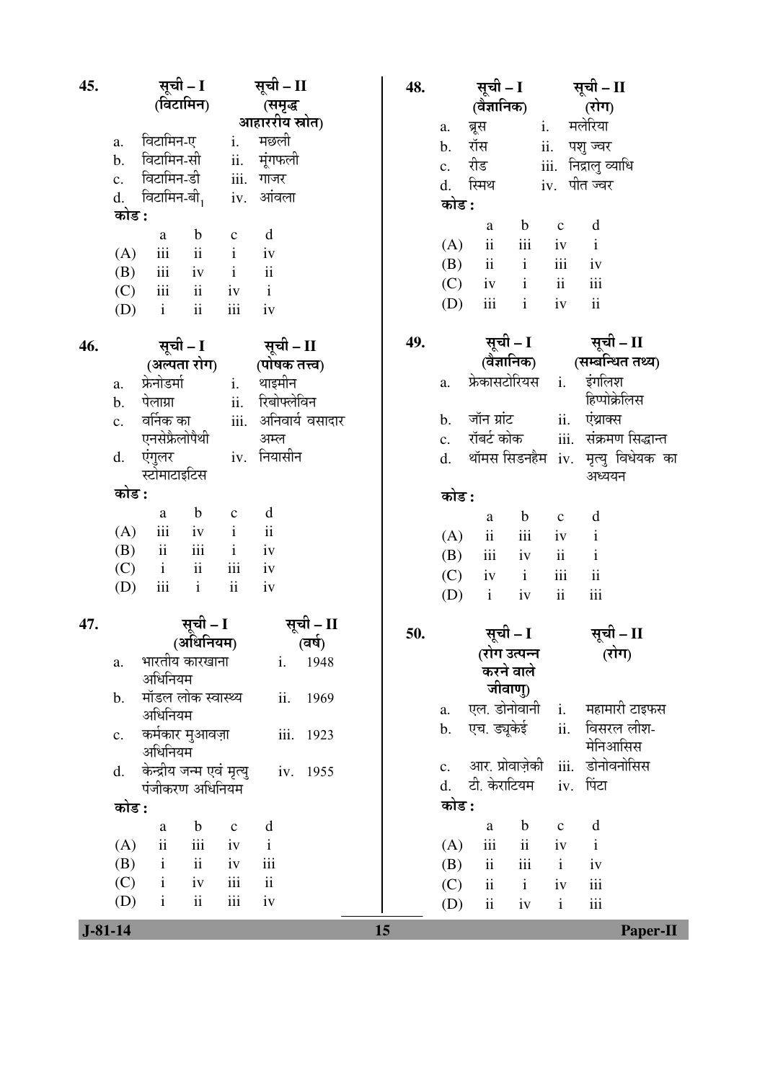| 45.       |                                                        | सूची – I<br>सूची – II    |                      | 48. | सूची – I       |                                                |                         |                    | सूची – II                                          |  |
|-----------|--------------------------------------------------------|--------------------------|----------------------|-----|----------------|------------------------------------------------|-------------------------|--------------------|----------------------------------------------------|--|
|           | (विटामिन)                                              |                          | (समृद्ध              |     | (वैज्ञानिक)    |                                                |                         | (रोग)              |                                                    |  |
|           |                                                        |                          | आहाररीय स्रोत)       |     | a.             | ब्रूस                                          | $\mathbf{i}$ .          |                    | मलेरिया                                            |  |
|           | विटामिन-ए<br>a.<br>विटामिन-सी                          | i.                       | मछली                 |     | b.             | रॉस                                            |                         | ii.                | पशु ज्वर                                           |  |
|           | $\mathbf b$ .<br>विटामिन-डी                            | iii. गाजर                | ii. मूंगफली          |     | c.             | रीड                                            |                         |                    | iii. निद्रालु व्याधि                               |  |
|           | $\mathbf{c}$ .<br>d. विटामिन-बी <sub>1</sub> iv. आंवला |                          |                      |     | d.             | स्मिथ                                          |                         |                    | iv. पीत ज्वर                                       |  |
|           | कोड :                                                  |                          |                      |     | कोड :          |                                                |                         |                    |                                                    |  |
|           | $\mathbf b$<br>a                                       | $\mathbf{C}$             | d                    |     |                | a                                              | $\mathbf b$             | $\mathbf{C}$       | d                                                  |  |
|           | $\overline{\text{iii}}$<br>(A)                         | $ii$ $i$                 | iv                   |     | (A)            | ii                                             | iii                     | iv                 | $\mathbf{i}$                                       |  |
|           | iii<br>(B)                                             | $iv$ $i$                 | $\ddot{\mathbf{i}}$  |     | (B)            | ii                                             | $\mathbf{i}$            | iii                | iv                                                 |  |
|           | $\overline{\text{iii}}$<br>ii<br>(C)                   | iv                       | $\mathbf{i}$         |     | (C)            |                                                | $iv$ $i$                | ii                 | iii                                                |  |
|           | $\ddot{\mathbf{i}}$<br>$\mathbf{i}$<br>(D)             | $\rm iii$                | iv                   |     | (D)            | iii                                            | $\mathbf{i}$            | iv                 | $\overline{\textbf{ii}}$                           |  |
| 46.       | सूची – I                                               |                          | सूची – II            | 49. |                |                                                |                         |                    | सूची – II                                          |  |
|           | (अल्पता रोग)                                           |                          | (पोषक तत्त्व)        |     |                |                                                |                         |                    | सूची – I सूची – II<br>(वैज्ञानिक) (सम्बन्धित तथ्य) |  |
|           | फ्रेनोडर्मा<br>a.                                      | $i$ .                    | थाइमीन               |     | a.             | फ्रेकासटोरियस                                  |                         |                    | i. इंगलिश                                          |  |
|           | पेलाग्रा<br>$\mathbf b$ .                              | ii.                      | रिबोफ्लेविन          |     |                |                                                |                         |                    | हिप्पोक्रेलिस                                      |  |
|           | वर्निक का<br>$\mathbf{c}$ .                            |                          | iii. अनिवार्य वसादार |     | b.             | जॉन ग्रांट                                     |                         | ii.                | एंथ्राक्स                                          |  |
|           | एनसेफ्रैलोपैथी                                         |                          | अम्ल                 |     | c.             | रॉबर्ट कोक                                     |                         |                    | iii. संक्रमण सिद्धान्त                             |  |
|           | एंगुलर<br>d.                                           |                          | iv. नियासीन          |     | d.             |                                                |                         |                    | थॉमस सिडनहैम iv. मृत्यु विधेयक का                  |  |
|           | स्टोमाटाइटिस                                           |                          |                      |     |                |                                                |                         |                    | अध्ययन                                             |  |
|           | कोड :                                                  |                          |                      |     | कोड :          |                                                |                         |                    |                                                    |  |
|           | $\mathbf b$<br>a                                       | $\mathbf{C}$             | $\mathbf d$          |     |                | a                                              | $\mathbf b$             | $\mathbf{C}$       | d                                                  |  |
|           | $\,$ iii<br>(A)<br>$\overline{\text{iii}}$<br>ii       | $iv$ $i$<br>$\mathbf{i}$ | $\rm ii$<br>iv       |     | (A)            | $\ddot{\rm ii}$                                | $\overline{\text{iii}}$ | iv                 | $\mathbf i$                                        |  |
|           | (B)<br>$\overline{\mathbf{i}}$<br>$\mathbf{i}$<br>(C)  | $\overline{\text{iii}}$  | iv                   |     | (B)            | $\rm iii$                                      | iv                      | ii                 | $\mathbf{i}$                                       |  |
|           | $\rm iii$<br>$\mathbf{i}$<br>(D)                       | $\rm ii$                 | iv                   |     | (C)            | iv                                             | $\mathbf{i}$            | iii                | $\mathbf{ii}$                                      |  |
|           |                                                        |                          |                      |     | (D)            | $\mathbf{i}$                                   | iv                      | $\rm ii$           | iii                                                |  |
| 47.       |                                                        | सूची – I                 | सूची – II            | 50. |                |                                                |                         |                    | सूची – II                                          |  |
|           |                                                        | (अधिनियम)                | (वर्ष)               |     |                | सूची – I<br>(रोग उत्पन्न                       |                         |                    | (रोग)                                              |  |
|           | भारतीय कारखाना<br>a.                                   |                          | i.<br>1948           |     |                | करने वाले                                      |                         |                    |                                                    |  |
|           | अधिनियम<br>मॉडल लोक स्वास्थ्य                          |                          |                      |     |                | जीवाण्)                                        |                         |                    |                                                    |  |
|           | b.<br>अधिनियम                                          |                          | ii.<br>1969          |     | a.             | एल. डोनोवानी                                   |                         | $\mathbf{i}$ .     | महामारी टाइफस                                      |  |
|           | कर्मकार मुआवज़ा<br>c.                                  |                          | iii. 1923            |     | b.             | एच. ड्यूकेई                                    |                         | ii.                | विसरल लीश-                                         |  |
|           | अधिनियम                                                |                          |                      |     |                |                                                |                         |                    | मेनिआसिस                                           |  |
|           | केन्द्रीय जन्म एवं मृत्यु<br>d.                        |                          | iv. 1955             |     | $\mathbf{c}$ . | आर. प्रोवाज़ेकी                                |                         |                    | iii. डोनोवनोसिस                                    |  |
|           | पंजीकरण अधिनियम                                        |                          |                      |     | d.             | टी. केराटियम                                   |                         |                    | iv. पिंटा                                          |  |
|           | कोड :                                                  |                          |                      |     | कोड :          |                                                |                         |                    |                                                    |  |
|           | $\mathbf b$<br>a                                       | $\mathbf{C}$             | d                    |     |                | a                                              | $\mathbf b$             | $\mathbf{C}$       | d                                                  |  |
|           | $\ddot{\rm{11}}$<br>$\rm iii$<br>(A)<br>ii             | iv                       | $\mathbf{i}$<br>iii  |     | (A)            | iii                                            | ii                      | iv                 | $\mathbf{i}$                                       |  |
|           | $\mathbf{i}$<br>(B)<br>$\mathbf{i}$<br>iv<br>(C)       | iv<br>iii                | ii                   |     | (B)            | $\overline{\mathbf{u}}$<br>$\ddot{\mathbf{i}}$ | iii<br>$\mathbf{i}$     | $\mathbf{i}$       | iv<br>iii                                          |  |
|           | ii<br>$\mathbf{i}$<br>(D)                              | $\rm iii$                | iv                   |     | (C)            | ii                                             |                         | iv<br>$\mathbf{i}$ | iii                                                |  |
|           |                                                        |                          |                      |     | (D)            |                                                | iv                      |                    |                                                    |  |
| $J-81-14$ |                                                        |                          |                      | 15  |                |                                                |                         |                    | <b>Paper-II</b>                                    |  |